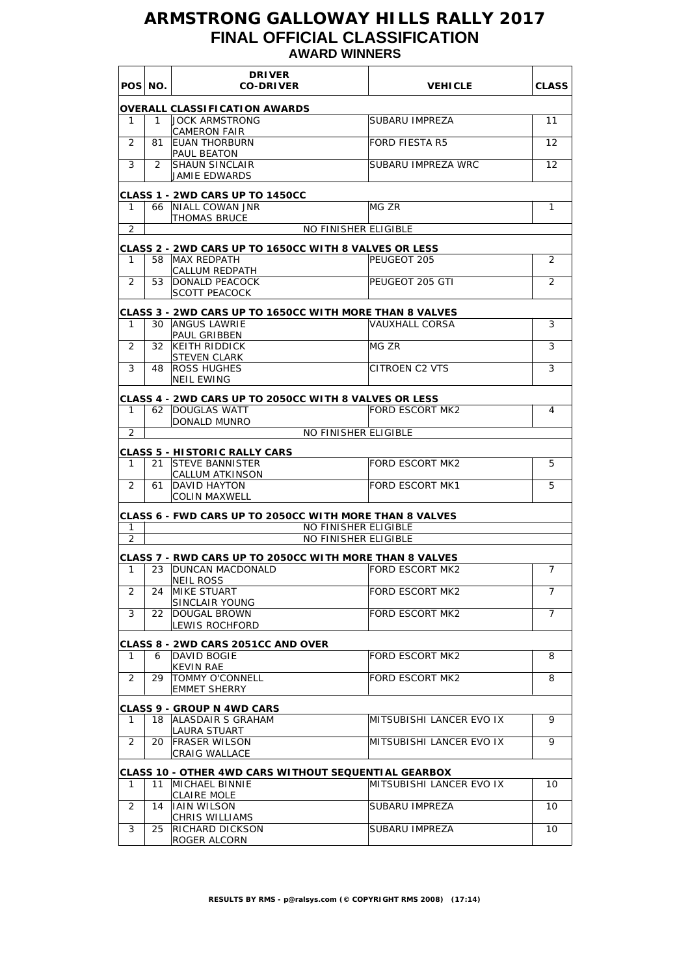## **ARMSTRONG GALLOWAY HILLS RALLY 2017 FINAL OFFICIAL CLASSIFICATION AWARD WINNERS**

|                | POS NO. | <b>DRIVER</b><br><b>CO-DRIVER</b>                                                 |                          | <b>CLASS</b>      |
|----------------|---------|-----------------------------------------------------------------------------------|--------------------------|-------------------|
|                |         |                                                                                   | <b>VEHICLE</b>           |                   |
|                |         | <b>OVERALL CLASSIFICATION AWARDS</b>                                              |                          |                   |
| 1              | 1.      | <b>JOCK ARMSTRONG</b><br><b>CAMERON FAIR</b>                                      | SUBARU IMPREZA           | 11                |
| 2              | 81      | <b>EUAN THORBURN</b><br>PAUL BEATON                                               | <b>FORD FIESTA R5</b>    | 12                |
| 3              | 2       | <b>SHAUN SINCLAIR</b><br>JAMIE EDWARDS                                            | SUBARU IMPREZA WRC       | $12 \overline{ }$ |
|                |         |                                                                                   |                          |                   |
| 1              | 66      | <b>CLASS 1 - 2WD CARS UP TO 1450CC</b><br><b>NIALL COWAN JNR</b>                  | MG ZR                    | 1                 |
| 2              |         | <b>THOMAS BRUCE</b><br><b>NO FINISHER ELIGIBLE</b>                                |                          |                   |
|                |         |                                                                                   |                          |                   |
| 1              | 58      | <b>CLASS 2 - 2WD CARS UP TO 1650CC WITH 8 VALVES OR LESS</b><br>MAX REDPATH       | PEUGEOT 205              | 2                 |
|                |         | CALLUM REDPATH                                                                    |                          |                   |
| $\overline{2}$ | 53      | <b>DONALD PEACOCK</b><br><b>SCOTT PEACOCK</b>                                     | PEUGEOT 205 GTI          | $\overline{2}$    |
|                |         | <b>CLASS 3 - 2WD CARS UP TO 1650CC WITH MORE THAN 8 VALVES</b>                    |                          |                   |
| 1              | 30      | <b>ANGUS LAWRIE</b>                                                               | <b>VAUXHALL CORSA</b>    | 3                 |
|                |         | <b>PAUL GRIBBEN</b>                                                               |                          |                   |
| 2              | 32      | <b>KEITH RIDDICK</b><br><b>STEVEN CLARK</b>                                       | MG ZR                    | 3                 |
| 3              | 48      | <b>ROSS HUGHES</b><br><b>NEIL EWING</b>                                           | <b>CITROEN C2 VTS</b>    | 3                 |
|                |         |                                                                                   |                          |                   |
| 1              |         | <b>CLASS 4 - 2WD CARS UP TO 2050CC WITH 8 VALVES OR LESS</b><br>62   DOUGLAS WATT | <b>FORD ESCORT MK2</b>   | 4                 |
|                |         | DONALD MUNRO                                                                      |                          |                   |
| 2              |         | <b>NO FINISHER ELIGIBLE</b>                                                       |                          |                   |
|                |         | <b>CLASS 5 - HISTORIC RALLY CARS</b>                                              |                          |                   |
| 1              | 21      | <b>ISTEVE BANNISTER</b><br><b>CALLUM ATKINSON</b>                                 | <b>FORD ESCORT MK2</b>   | 5                 |
| 2              | 61      | <b>DAVID HAYTON</b><br><b>COLIN MAXWELL</b>                                       | <b>FORD ESCORT MK1</b>   | 5                 |
|                |         | CLASS 6 - FWD CARS UP TO 2050CC WITH MORE THAN 8 VALVES                           |                          |                   |
| 1              |         | <b>NO FINISHER ELIGIBLE</b>                                                       |                          |                   |
| $\overline{2}$ |         | <b>NO FINISHER ELIGIBLE</b>                                                       |                          |                   |
|                |         | <b>CLASS 7 - RWD CARS UP TO 2050CC WITH MORE THAN 8 VALVES</b>                    |                          |                   |
| 1              | 23      | <b>DUNCAN MACDONALD</b><br><b>NEIL ROSS</b>                                       | <b>FORD ESCORT MK2</b>   | 7                 |
| 2              | 24      | MIKE STUART<br><b>SINCLAIR YOUNG</b>                                              | FORD ESCORT MK2          | 7                 |
| 3              | 22      | DOUGAL BROWN                                                                      | FORD ESCORT MK2          | $\overline{7}$    |
|                |         | LEWIS ROCHFORD                                                                    |                          |                   |
|                |         | <b>CLASS 8 - 2WD CARS 2051CC AND OVER</b>                                         |                          |                   |
| 1.             | 6       | DAVID BOGIE<br>KEVIN RAE                                                          | FORD ESCORT MK2          | 8                 |
| $\overline{2}$ | 29      | <b>TOMMY O'CONNELL</b>                                                            | FORD ESCORT MK2          | 8                 |
|                |         | <b>EMMET SHERRY</b>                                                               |                          |                   |
|                |         | <b>CLASS 9 - GROUP N 4WD CARS</b>                                                 |                          |                   |
| 1              | 18      | ALASDAIR S GRAHAM<br>LAURA STUART                                                 | MITSUBISHI LANCER EVO IX | 9                 |
| 2              | 20      | <b>FRASER WILSON</b><br><b>CRAIG WALLACE</b>                                      | MITSUBISHI LANCER EVO IX | 9                 |
|                |         |                                                                                   |                          |                   |
| 1.             | 11      | CLASS 10 - OTHER 4WD CARS WITHOUT SEQUENTIAL GEARBOX<br>MICHAEL BINNIE            | MITSUBISHI LANCER EVO IX | 10                |
|                |         | CLAIRE MOLE                                                                       |                          |                   |
| 2              | 14      | <b>IAIN WILSON</b><br>CHRIS WILLIAMS                                              | SUBARU IMPREZA           | 10                |
| 3              | 25      | <b>RICHARD DICKSON</b>                                                            | SUBARU IMPREZA           | 10                |
|                |         | ROGER ALCORN                                                                      |                          |                   |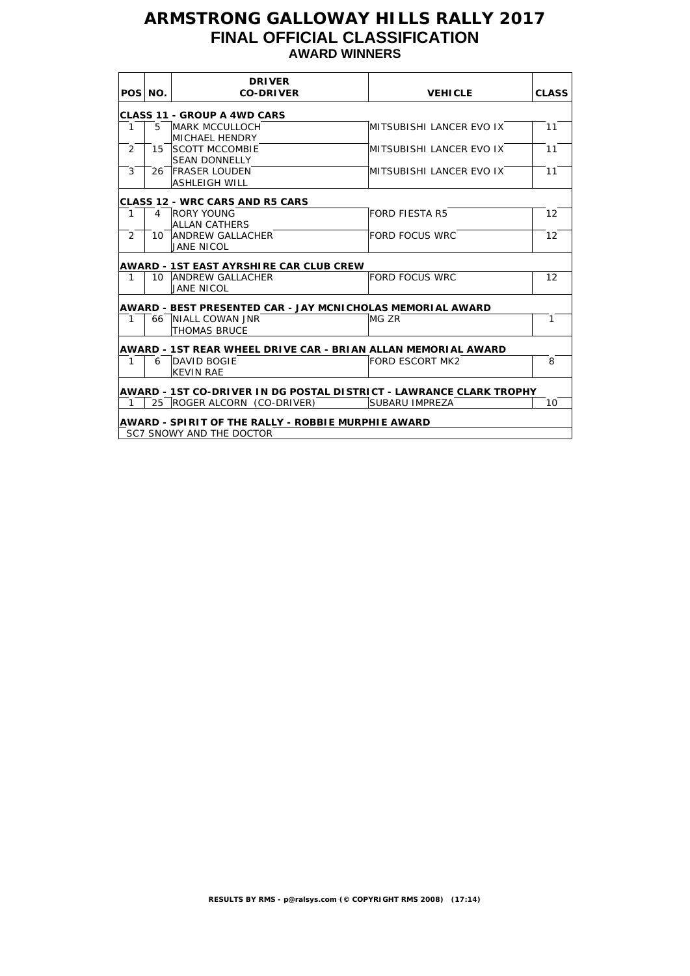## **ARMSTRONG GALLOWAY HILLS RALLY 2017 FINAL OFFICIAL CLASSIFICATION AWARD WINNERS**

|                | POS NO.        | <b>DRIVER</b><br><b>CO-DRIVER</b>                                   | <b>VEHICLE</b>           | <b>CLASS</b> |
|----------------|----------------|---------------------------------------------------------------------|--------------------------|--------------|
|                |                | <b>CLASS 11 - GROUP A 4WD CARS</b>                                  |                          |              |
| $\mathbf{1}$   | 5              | <b>MARK MCCULLOCH</b><br><b>MICHAEL HENDRY</b>                      | MITSUBISHI LANCER EVO IX | 11           |
| $\overline{2}$ |                | 15 ISCOTT MCCOMBIE<br><b>SEAN DONNELLY</b>                          | MITSUBISHI LANCER EVO IX | 11           |
| 3              |                | 26 FRASER LOUDEN<br><b>ASHLEIGH WILL</b>                            | MITSUBISHI LANCER EVO IX | 11           |
|                |                | <b>CLASS 12 - WRC CARS AND R5 CARS</b>                              |                          |              |
| 1              | $\overline{4}$ | <b>RORY YOUNG</b><br><b>ALLAN CATHERS</b>                           | <b>FORD FIESTA R5</b>    | 12           |
| 2              |                | 10 ANDREW GALLACHER<br><b>JANE NICOL</b>                            | FORD FOCUS WRC           | 12           |
|                |                | <b>AWARD - 1ST EAST AYRSHIRE CAR CLUB CREW</b>                      |                          |              |
| 1              |                | 10 ANDREW GALLACHER<br><b>JANE NICOL</b>                            | <b>FORD FOCUS WRC</b>    | 12           |
|                |                | AWARD - BEST PRESENTED CAR - JAY MCNICHOLAS MEMORIAL AWARD          |                          |              |
| $\mathbf{1}$   |                | 66 NIALL COWAN JNR<br><b>THOMAS BRUCE</b>                           | MG ZR                    | $\mathbf{1}$ |
|                |                | AWARD - 1ST REAR WHEEL DRIVE CAR - BRIAN ALLAN MEMORIAL AWARD       |                          |              |
| $\mathbf{1}$   | 6              | DAVID BOGIE<br><b>KEVIN RAE</b>                                     | <b>FORD ESCORT MK2</b>   | 8            |
|                |                | AWARD - 1ST CO-DRIVER IN DG POSTAL DISTRICT - LAWRANCE CLARK TROPHY |                          |              |
| $\mathbf{1}$   |                | 25 ROGER ALCORN (CO-DRIVER)                                         | SUBARU IMPREZA           | 10           |
|                |                | <b>AWARD - SPIRIT OF THE RALLY - ROBBIE MURPHIE AWARD</b>           |                          |              |
|                |                | SC7 SNOWY AND THE DOCTOR                                            |                          |              |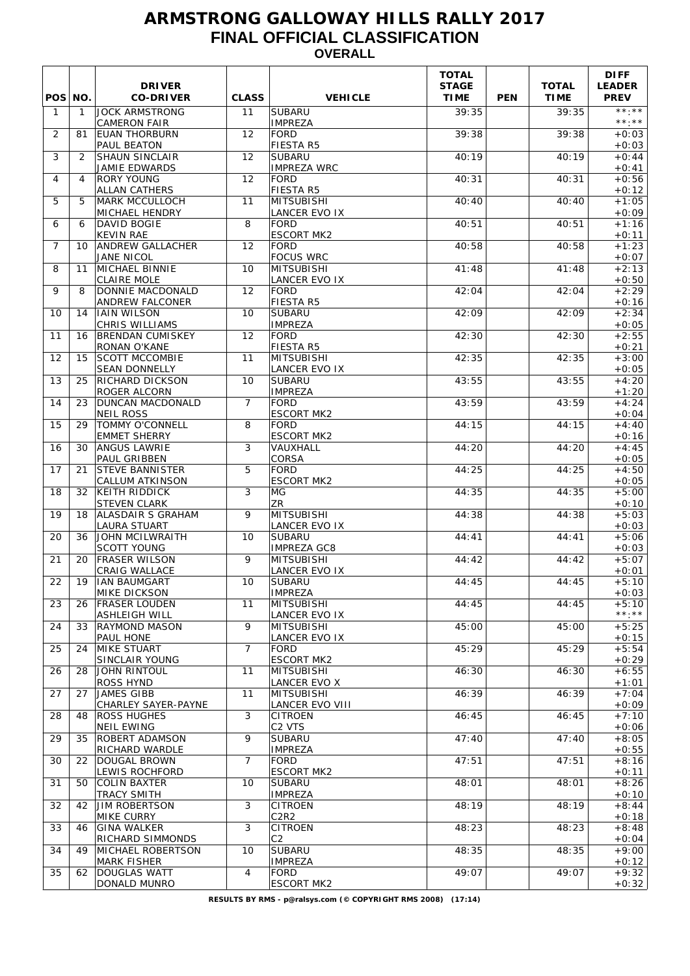## **ARMSTRONG GALLOWAY HILLS RALLY 2017 FINAL OFFICIAL CLASSIFICATION OVERALL**

| POS NO.        |              | <b>DRIVER</b><br><b>CO-DRIVER</b>                | <b>CLASS</b>   | <b>VEHICLE</b>                                  | <b>TOTAL</b><br><b>STAGE</b><br><b>TIME</b> | <b>PEN</b> | <b>TOTAL</b><br><b>TIME</b> | <b>DIFF</b><br><b>LEADER</b><br><b>PREV</b> |
|----------------|--------------|--------------------------------------------------|----------------|-------------------------------------------------|---------------------------------------------|------------|-----------------------------|---------------------------------------------|
| $\mathbf{1}$   | $\mathbf{1}$ | <b>JOCK ARMSTRONG</b><br><b>CAMERON FAIR</b>     | 11             | <b>SUBARU</b><br><b>IMPREZA</b>                 | 39:35                                       |            | 39:35                       | $***.**$<br>$***.**$                        |
| 2              | 81           | <b>EUAN THORBURN</b><br>PAUL BEATON              | 12             | <b>FORD</b><br><b>FIESTA R5</b>                 | 39:38                                       |            | 39:38                       | $+0:03$<br>$+0:03$                          |
| 3              | 2            | <b>SHAUN SINCLAIR</b><br>JAMIE EDWARDS           | 12             | <b>SUBARU</b><br><b>IMPREZA WRC</b>             | 40:19                                       |            | 40:19                       | $+0:44$<br>$+0:41$                          |
| 4              | 4            | <b>RORY YOUNG</b><br><b>ALLAN CATHERS</b>        | 12             | <b>FORD</b><br><b>FIESTA R5</b>                 | 40:31                                       |            | 40:31                       | $+0:56$<br>$+0:12$                          |
| 5              | 5            | <b>MARK MCCULLOCH</b><br><b>MICHAEL HENDRY</b>   | 11             | <b>MITSUBISHI</b><br><b>LANCER EVO IX</b>       | 40:40                                       |            | 40:40                       | $+1:05$<br>$+0:09$                          |
| 6              | 6            | DAVID BOGIE<br><b>KEVIN RAE</b>                  | 8              | <b>FORD</b><br><b>ESCORT MK2</b>                | 40:51                                       |            | 40:51                       | $+1:16$<br>$+0:11$                          |
| $\overline{7}$ | 10           | <b>ANDREW GALLACHER</b><br>JANE NICOL            | 12             | <b>FORD</b><br><b>FOCUS WRC</b>                 | 40:58                                       |            | 40:58                       | $+1:23$<br>$+0:07$                          |
| 8              | 11           | MICHAEL BINNIE                                   | 10             | <b>MITSUBISHI</b>                               | 41:48                                       |            | 41:48                       | $+2:13$                                     |
| 9              | 8            | <b>CLAIRE MOLE</b><br>DONNIE MACDONALD           | 12             | LANCER EVO IX<br><b>FORD</b>                    | 42:04                                       |            | 42:04                       | $+0:50$<br>$+2:29$                          |
| 10             | 14           | <b>ANDREW FALCONER</b><br><b>IAIN WILSON</b>     | 10             | <b>FIESTA R5</b><br><b>SUBARU</b>               | 42:09                                       |            | 42:09                       | $+0:16$<br>$+2:34$                          |
| 11             | 16           | <b>CHRIS WILLIAMS</b><br><b>BRENDAN CUMISKEY</b> | 12             | <b>IMPREZA</b><br><b>FORD</b>                   | 42:30                                       |            | 42:30                       | $+0:05$<br>$+2:55$                          |
| 12             | 15           | RONAN O'KANE<br><b>SCOTT MCCOMBIE</b>            | 11             | FIESTA R5<br><b>MITSUBISHI</b>                  | 42:35                                       |            | 42:35                       | $+0:21$<br>$+3:00$                          |
| 13             | 25           | <b>SEAN DONNELLY</b><br>RICHARD DICKSON          | 10             | LANCER EVO IX<br><b>SUBARU</b>                  | 43:55                                       |            | 43:55                       | $+0:05$<br>$+4:20$                          |
| 14             | 23           | ROGER ALCORN<br>DUNCAN MACDONALD                 | $\overline{7}$ | <b>IMPREZA</b><br><b>FORD</b>                   | 43:59                                       |            | 43:59                       | $+1:20$<br>$+4:24$                          |
| 15             | 29           | <b>NEIL ROSS</b><br><b>TOMMY O'CONNELL</b>       | 8              | <b>ESCORT MK2</b><br>FORD                       | 44:15                                       |            | 44:15                       | $+0:04$<br>$+4:40$                          |
| 16             | 30           | <b>EMMET SHERRY</b><br><b>ANGUS LAWRIE</b>       | 3              | <b>ESCORT MK2</b><br><b>VAUXHALL</b>            | 44:20                                       |            | 44:20                       | $+0:16$<br>$+4:45$                          |
| 17             | 21           | <b>PAUL GRIBBEN</b><br><b>STEVE BANNISTER</b>    | 5              | <b>CORSA</b><br><b>FORD</b>                     | 44:25                                       |            | 44:25                       | $+0:05$<br>$+4:50$                          |
| 18             | 32           | CALLUM ATKINSON<br><b>KEITH RIDDICK</b>          | 3              | <b>ESCORT MK2</b><br>MG                         | 44:35                                       |            | 44:35                       | $+0:05$<br>$+5:00$                          |
| 19             | 18           | <b>STEVEN CLARK</b><br>ALASDAIR S GRAHAM         | 9              | ZR<br><b>MITSUBISHI</b>                         | 44:38                                       |            | 44:38                       | $+0:10$<br>$+5:03$                          |
| 20             | 36           | <b>LAURA STUART</b><br><b>JOHN MCILWRAITH</b>    | 10             | LANCER EVO IX<br><b>SUBARU</b>                  | 44:41                                       |            | 44:41                       | $+0:03$<br>$+5:06$                          |
| 21             | 20           | <b>SCOTT YOUNG</b><br><b>FRASER WILSON</b>       | 9              | <b>IMPREZA GC8</b><br><b>MITSUBISHI</b>         | 44:42                                       |            | 44:42                       | $+0:03$<br>$+5:07$                          |
| 22             | 19           | CRAIG WALLACE<br><b>IIAN BAUMGART</b>            | 10             | LANCER EVO IX<br><b>SUBARU</b>                  | 44:45                                       |            | 44:45                       | $+0:01$<br>$+5:10$                          |
|                |              | <b>MIKE DICKSON</b><br><b>FRASER LOUDEN</b>      | 11             | <b>IMPREZA</b><br>MITSUBISHI                    | 44:45                                       |            | 44:45                       | $+0:03$<br>$+5:10$                          |
| 23             | 26           | <b>ASHLEIGH WILL</b>                             |                | <b>LANCER EVO IX</b>                            |                                             |            |                             | $***.**$                                    |
| 24             | 33           | <b>RAYMOND MASON</b><br>PAUL HONE                | 9              | MITSUBISHI<br>LANCER EVO IX                     | 45:00                                       |            | 45:00                       | $+5:25$<br>$+0:15$                          |
| 25             | 24           | <b>MIKE STUART</b><br>SINCLAIR YOUNG             | $\overline{7}$ | FORD<br><b>ESCORT MK2</b>                       | 45:29                                       |            | 45:29                       | $+5:54$<br>$+0:29$                          |
| 26             | 28           | <b>JOHN RINTOUL</b><br>ROSS HYND                 | 11             | <b>MITSUBISHI</b><br>LANCER EVO X               | 46:30                                       |            | 46:30                       | $+6:55$<br>$+1:01$                          |
| 27             | 27           | JAMES GIBB<br><b>CHARLEY SAYER-PAYNE</b>         | 11             | <b>MITSUBISHI</b><br>LANCER EVO VIII            | 46:39                                       |            | 46:39                       | $+7:04$<br>$+0:09$                          |
| 28             | 48           | <b>ROSS HUGHES</b><br><b>NEIL EWING</b>          | 3              | <b>CITROEN</b><br>C <sub>2</sub> VTS            | 46:45                                       |            | 46:45                       | $+7:10$<br>$+0:06$                          |
| 29             | 35           | <b>ROBERT ADAMSON</b><br>RICHARD WARDLE          | 9              | <b>SUBARU</b><br><b>IMPREZA</b>                 | 47:40                                       |            | 47:40                       | $+8:05$<br>$+0:55$                          |
| 30             | 22           | DOUGAL BROWN<br>LEWIS ROCHFORD                   | $\overline{7}$ | <b>FORD</b><br><b>ESCORT MK2</b>                | 47:51                                       |            | 47:51                       | $+8:16$<br>$+0:11$                          |
| 31             | 50           | <b>COLIN BAXTER</b><br><b>TRACY SMITH</b>        | 10             | <b>SUBARU</b><br><b>IMPREZA</b>                 | 48:01                                       |            | 48:01                       | $+8:26$<br>$+0:10$                          |
| 32             | 42           | <b>JIM ROBERTSON</b><br>MIKE CURRY               | 3              | <b>CITROEN</b><br>C <sub>2</sub> R <sub>2</sub> | 48:19                                       |            | 48:19                       | $+8:44$<br>$+0:18$                          |
| 33             | 46           | <b>GINA WALKER</b><br>RICHARD SIMMONDS           | 3              | <b>CITROEN</b><br>C2                            | 48:23                                       |            | 48:23                       | $+8:48$<br>$+0:04$                          |
| 34             | 49           | MICHAEL ROBERTSON<br><b>MARK FISHER</b>          | 10             | <b>SUBARU</b><br><b>IMPREZA</b>                 | 48:35                                       |            | 48:35                       | $+9:00$<br>$+0:12$                          |
| 35             | 62           | <b>DOUGLAS WATT</b><br>DONALD MUNRO              | 4              | <b>FORD</b><br><b>ESCORT MK2</b>                | 49:07                                       |            | 49:07                       | $+9:32$<br>$+0:32$                          |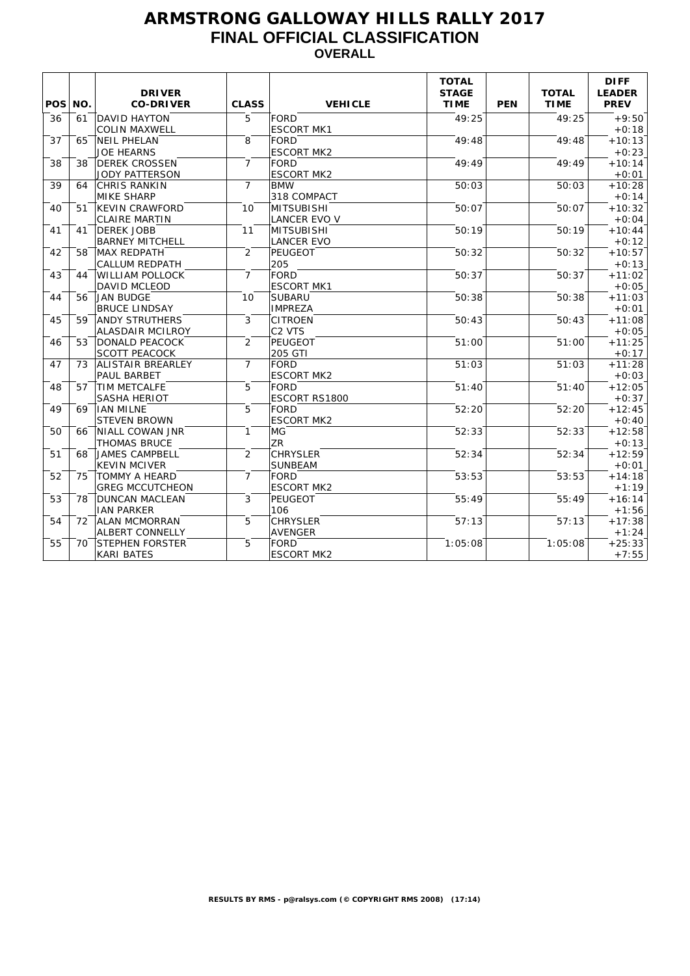## **ARMSTRONG GALLOWAY HILLS RALLY 2017 FINAL OFFICIAL CLASSIFICATION OVERALL**

| POS <sup>1</sup> | NO. | <b>DRIVER</b><br><b>CO-DRIVER</b> | <b>CLASS</b>    | <b>VEHICLE</b>     | <b>TOTAL</b><br><b>STAGE</b><br><b>TIME</b> | <b>PEN</b> | <b>TOTAL</b><br><b>TIME</b> | <b>DIFF</b><br><b>LEADER</b><br><b>PREV</b> |
|------------------|-----|-----------------------------------|-----------------|--------------------|---------------------------------------------|------------|-----------------------------|---------------------------------------------|
| 36               | 61  | <b>DAVID HAYTON</b>               | 5               | <b>FORD</b>        | 49:25                                       |            | 49:25                       | $+9:50$                                     |
|                  |     | <b>COLIN MAXWELL</b>              |                 | <b>ESCORT MK1</b>  |                                             |            |                             | $+0:18$                                     |
| 37               | 65  | NEIL PHELAN                       | 8               | FORD               | 49:48                                       |            | 49:48                       | $+10:13$                                    |
|                  |     | <b>JOE HEARNS</b>                 |                 | <b>ESCORT MK2</b>  |                                             |            |                             | $+0:23$                                     |
| 38               | 38  | <b>DEREK CROSSEN</b>              | $\overline{7}$  | FORD               | 49:49                                       |            | 49:49                       | $+10:14$                                    |
|                  |     | <b>JODY PATTERSON</b>             |                 | <b>ESCORT MK2</b>  |                                             |            |                             | $+0:01$                                     |
| 39               | 64  | <b>CHRIS RANKIN</b>               | $\overline{7}$  | <b>BMW</b>         | 50:03                                       |            | 50:03                       | $+10:28$                                    |
|                  |     | <b>MIKE SHARP</b>                 |                 | 318 COMPACT        |                                             |            |                             | $+0:14$                                     |
| 40               | 51  | <b>KEVIN CRAWFORD</b>             | 10              | MITSUBISHI         | 50:07                                       |            | 50:07                       | $+10:32$                                    |
|                  |     | <b>CLAIRE MARTIN</b>              |                 | LANCER EVO V       |                                             |            |                             | $+0:04$                                     |
| 41               | 41  | <b>DEREK JOBB</b>                 | 11              | MITSUBISHI         | 50:19                                       |            | 50:19                       | $+10:44$                                    |
|                  |     | <b>BARNEY MITCHELL</b>            |                 | <b>LANCER EVO</b>  |                                             |            |                             | $+0:12$                                     |
| 42               | 58  | <b>MAX REDPATH</b>                | 2               | PEUGEOT            | 50:32                                       |            | 50:32                       | $+10:57$                                    |
|                  |     | <b>CALLUM REDPATH</b>             |                 | 205                |                                             |            |                             | $+0:13$                                     |
| 43               | 44  | <b>WILLIAM POLLOCK</b>            | $\overline{7}$  | FORD               | 50:37                                       |            | 50:37                       | $+11:02$                                    |
|                  |     | DAVID MCLEOD                      |                 | <b>ESCORT MK1</b>  |                                             |            |                             | $+0:05$                                     |
| 44               | 56  | <b>JAN BUDGE</b>                  | 10 <sup>1</sup> | <b>SUBARU</b>      | 50:38                                       |            | 50:38                       | $+11:03$                                    |
|                  |     | <b>BRUCE LINDSAY</b>              |                 | <b>IMPREZA</b>     |                                             |            |                             | $+0:01$                                     |
| 45               | 59  | <b>ANDY STRUTHERS</b>             | 3               | <b>CITROEN</b>     | 50:43                                       |            | 50:43                       | $+11:08$                                    |
|                  |     | <b>ALASDAIR MCILROY</b>           |                 | C <sub>2</sub> VTS |                                             |            |                             | $+0:05$                                     |
| 46               | 53  | <b>DONALD PEACOCK</b>             | 2               | PEUGEOT            | 51:00                                       |            | 51:00                       | $+11:25$                                    |
|                  |     | <b>SCOTT PEACOCK</b>              |                 | 205 GTI            |                                             |            |                             | $+0:17$                                     |
| 47               | 73  | <b>ALISTAIR BREARLEY</b>          | $\overline{7}$  | FORD               | 51:03                                       |            | 51:03                       | $+11:28$                                    |
|                  |     | PAUL BARBET                       |                 | <b>ESCORT MK2</b>  |                                             |            |                             | $+0:03$                                     |
| 48               | 57  | <b>TIM METCALFE</b>               | 5               | FORD               | 51:40                                       |            | 51:40                       | $+12:05$                                    |
|                  |     | <b>SASHA HERIOT</b>               |                 | ESCORT RS1800      |                                             |            |                             | $+0:37$                                     |
| 49               | 69  | IIAN MILNE                        | 5               | FORD               | 52:20                                       |            | 52:20                       | $+12:45$                                    |
|                  |     | <b>STEVEN BROWN</b>               |                 | <b>ESCORT MK2</b>  |                                             |            |                             | $+0:40$                                     |
| 50               | 66  | <b>NIALL COWAN JNR</b>            | $\mathbf{1}$    | MG                 | 52:33                                       |            | 52:33                       | $+12:58$                                    |
|                  |     | <b>THOMAS BRUCE</b>               |                 | ZR <sup>1</sup>    |                                             |            |                             | $+0:13$                                     |
| 51               | 68  | JAMES CAMPBELL                    | 2               | <b>CHRYSLER</b>    | 52:34                                       |            | 52:34                       | $+12:59$                                    |
|                  |     | <b>KEVIN MCIVER</b>               |                 | <b>SUNBEAM</b>     |                                             |            |                             | $+0:01$                                     |
| 52               | 75  | <b>TOMMY A HEARD</b>              | $\overline{7}$  | FORD               | 53:53                                       |            | 53:53                       | $+14:18$                                    |
|                  |     | <b>GREG MCCUTCHEON</b>            |                 | <b>ESCORT MK2</b>  |                                             |            |                             | $+1:19$                                     |
| 53               | 78  | <b>DUNCAN MACLEAN</b>             | 3               | PEUGEOT            | 55:49                                       |            | 55:49                       | $+16:14$                                    |
|                  |     | <b>IAN PARKER</b>                 |                 | 106                |                                             |            |                             | $+1:56$                                     |
| 54               | 72  | <b>ALAN MCMORRAN</b>              | 5               | <b>CHRYSLER</b>    | 57:13                                       |            | 57:13                       | $+17:38$                                    |
|                  |     | <b>ALBERT CONNELLY</b>            |                 | <b>AVENGER</b>     |                                             |            |                             | $+1:24$                                     |
| 55               | 70  | <b>STEPHEN FORSTER</b>            | 5               | FORD               | 1:05:08                                     |            | 1:05:08                     | $+25:33$                                    |
|                  |     | <b>KARI BATES</b>                 |                 | <b>ESCORT MK2</b>  |                                             |            |                             | $+7:55$                                     |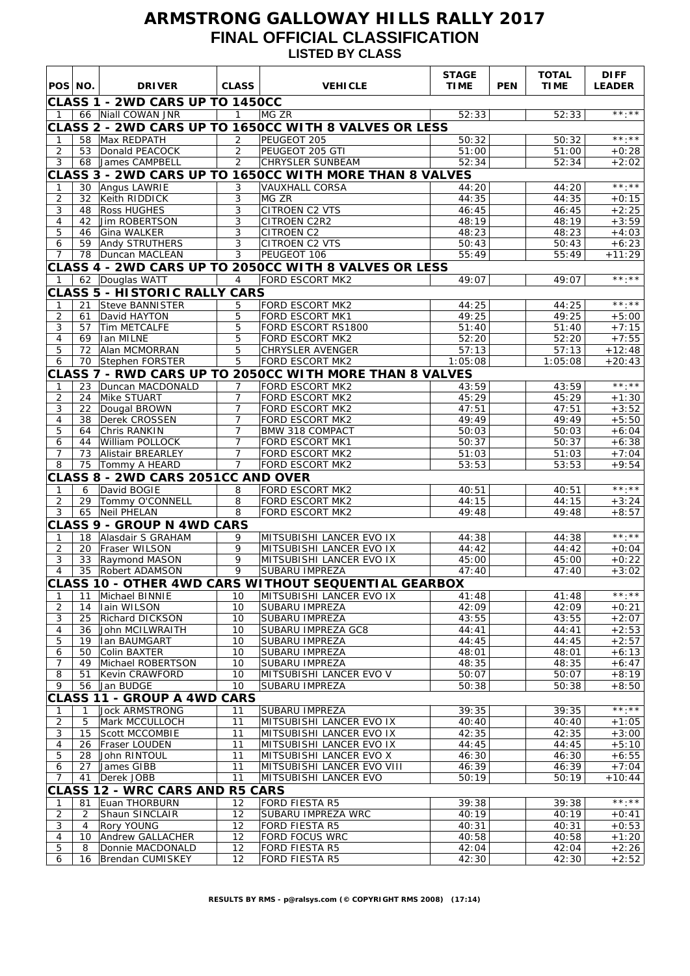## **ARMSTRONG GALLOWAY HILLS RALLY 2017 FINAL OFFICIAL CLASSIFICATION LISTED BY CLASS**

| POS NO.             |          | <b>DRIVER</b>                                           | <b>CLASS</b>                     | <b>VEHICLE</b>                                          | <b>STAGE</b><br><b>TIME</b> | <b>PEN</b> | <b>TOTAL</b><br><b>TIME</b> | <b>DIFF</b><br><b>LEADER</b> |
|---------------------|----------|---------------------------------------------------------|----------------------------------|---------------------------------------------------------|-----------------------------|------------|-----------------------------|------------------------------|
|                     |          | CLASS 1 - 2WD CARS UP TO 1450CC                         |                                  |                                                         |                             |            |                             |                              |
| $\mathbf 1$         |          | 66 Niall COWAN JNR                                      | $\mathbf{1}$                     | MG ZR                                                   | 52:33                       |            | 52:33                       | **.**                        |
|                     |          |                                                         |                                  | CLASS 2 - 2WD CARS UP TO 1650CC WITH 8 VALVES OR LESS   |                             |            |                             |                              |
| 1                   |          | 58 Max REDPATH                                          | $\overline{2}$                   | PEUGEOT 205                                             | 50:32                       |            | 50:32                       | $\star\star\cdot\star\star$  |
| $\overline{2}$      | 53       | Donald PEACOCK                                          | 2                                | PEUGEOT 205 GTI                                         | 51:00                       |            | 51:00                       | $+0:28$                      |
| 3                   |          | 68 James CAMPBELL                                       | $\overline{2}$                   | CHRYSLER SUNBEAM                                        | 52:34                       |            | 52:34                       | $+2:02$                      |
|                     |          |                                                         |                                  | CLASS 3 - 2WD CARS UP TO 1650CC WITH MORE THAN 8 VALVES |                             |            |                             | $\star\star\star\star\star$  |
| 1<br>$\overline{c}$ | 32       | 30 Angus LAWRIE<br>Keith RIDDICK                        | 3<br>3                           | <b>VAUXHALL CORSA</b><br>MG ZR                          | 44:20<br>44:35              |            | 44:20<br>44:35              | $+0:15$                      |
| 3                   | 48       | <b>Ross HUGHES</b>                                      | 3                                | CITROEN C2 VTS                                          | 46:45                       |            | 46:45                       | $+2:25$                      |
| 4                   | 42       | Jim ROBERTSON                                           | 3                                | <b>CITROEN C2R2</b>                                     | 48:19                       |            | 48:19                       | $+3:59$                      |
| 5                   | 46       | Gina WALKER                                             | 3                                | <b>CITROEN C2</b>                                       | 48:23                       |            | 48:23                       | $+4:03$                      |
| 6                   | 59       | Andy STRUTHERS                                          | 3                                | CITROEN C2 VTS                                          | 50:43                       |            | 50:43                       | $+6:23$                      |
| $\overline{7}$      |          | 78   Duncan MACLEAN                                     | 3                                | PEUGEOT 106                                             | 55:49                       |            | 55:49                       | $+11:29$                     |
|                     |          |                                                         |                                  | CLASS 4 - 2WD CARS UP TO 2050CC WITH 8 VALVES OR LESS   | 49:07                       |            | 49:07                       | $***.**$                     |
| $\mathbf{1}$        |          | 62 Douglas WATT<br><b>CLASS 5 - HISTORIC RALLY CARS</b> | $\overline{4}$                   | <b>FORD ESCORT MK2</b>                                  |                             |            |                             |                              |
| $\mathbf{1}$        | 21       | Steve BANNISTER                                         | 5                                | <b>FORD ESCORT MK2</b>                                  | 44:25                       |            | 44:25                       | $***.**$                     |
| $\overline{c}$      | 61       | David HAYTON                                            | 5                                | FORD ESCORT MK1                                         | 49:25                       |            | 49:25                       | $+5:00$                      |
| 3                   | 57       | Tim METCALFE                                            | 5                                | FORD ESCORT RS1800                                      | 51:40                       |            | 51:40                       | $+7:15$                      |
| 4                   | 69       | Ian MILNE                                               | $\overline{5}$                   | <b>FORD ESCORT MK2</b>                                  | 52:20                       |            | 52:20                       | $+7:55$                      |
| 5                   | 72       | Alan MCMORRAN                                           | 5                                | <b>CHRYSLER AVENGER</b>                                 | 57:13                       |            | 57:13                       | $+12:48$                     |
| 6                   | 70       | Stephen FORSTER                                         | 5                                | FORD ESCORT MK2                                         | 1:05:08                     |            | 1:05:08                     | $+20:43$                     |
|                     |          |                                                         |                                  | CLASS 7 - RWD CARS UP TO 2050CC WITH MORE THAN 8 VALVES |                             |            |                             |                              |
| 1<br>$\overline{2}$ | 23       | Duncan MACDONALD<br>Mike STUART                         | $\overline{7}$<br>$\overline{7}$ | <b>FORD ESCORT MK2</b><br><b>FORD ESCORT MK2</b>        | 43:59<br>45:29              |            | 43:59<br>45:29              | $\star\star\star\star\star$  |
| 3                   | 24<br>22 | Dougal BROWN                                            | $\overline{7}$                   | <b>FORD ESCORT MK2</b>                                  | 47:51                       |            | 47:51                       | $+1:30$<br>$+3:52$           |
| 4                   | 38       | Derek CROSSEN                                           | $\overline{7}$                   | <b>FORD ESCORT MK2</b>                                  | 49:49                       |            | 49:49                       | $+5:50$                      |
| 5                   | 64       | Chris RANKIN                                            | $\overline{7}$                   | <b>BMW 318 COMPACT</b>                                  | 50:03                       |            | 50:03                       | $+6:04$                      |
| 6                   | 44       | William POLLOCK                                         | $\overline{7}$                   | <b>FORD ESCORT MK1</b>                                  | 50:37                       |            | 50:37                       | $+6:38$                      |
| 7                   | 73       | Alistair BREARLEY                                       | $\overline{7}$                   | FORD ESCORT MK2                                         | 51:03                       |            | 51:03                       | $+7:04$                      |
| 8                   |          | 75 Tommy A HEARD                                        | $\overline{7}$                   | <b>FORD ESCORT MK2</b>                                  | 53:53                       |            | 53:53                       | $+9:54$                      |
|                     |          | CLASS 8 - 2WD CARS 2051CC AND OVER<br>David BOGIE       |                                  | FORD ESCORT MK2                                         |                             |            |                             | $***.**$                     |
| 1<br>$\overline{c}$ | 6<br>29  | Tommy O'CONNELL                                         | 8<br>8                           | <b>FORD ESCORT MK2</b>                                  | 40:51<br>44:15              |            | 40:51<br>44:15              | $+3:24$                      |
| 3                   |          | 65 Neil PHELAN                                          | 8                                | FORD ESCORT MK2                                         | 49:48                       |            | 49:48                       | $+8:57$                      |
|                     |          | <b>CLASS 9 - GROUP N 4WD CARS</b>                       |                                  |                                                         |                             |            |                             |                              |
| $\mathbf{1}$        |          | 18 Alasdair S GRAHAM                                    | 9                                | MITSUBISHI LANCER EVO IX                                | 44:38                       |            | 44:38                       | $\star\star\cdot\star\star$  |
| 2                   |          | 20   Fraser WILSON                                      | 9                                | MITSUBISHI LANCER EVO IX                                | 44:42                       |            | 44:42                       | $+0:04$                      |
| 3                   | 33       | Raymond MASON                                           | 9                                | MITSUBISHI LANCER EVO IX                                | 45:00                       |            | 45:00                       | $+0:22$                      |
| $\overline{4}$      |          | 35 Robert ADAMSON                                       | 9                                | <b>SUBARU IMPREZA</b>                                   | 47:40                       |            | 47:40                       | $+3:02$                      |
|                     |          |                                                         |                                  | CLASS 10 - OTHER 4WD CARS WITHOUT SEQUENTIAL GEARBOX    |                             |            |                             | $\star\star\star\star\star$  |
| 1<br>2              | 11<br>14 | Michael BINNIE<br>Iain WILSON                           | 10<br>10                         | MITSUBISHI LANCER EVO IX<br>SUBARU IMPREZA              | 41:48<br>42:09              |            | 41:48<br>42:09              | $+0:21$                      |
| 3                   | 25       | Richard DICKSON                                         | 10                               | <b>SUBARU IMPREZA</b>                                   | 43:55                       |            | 43:55                       | $+2:07$                      |
| 4                   | 36       | John MCILWRAITH                                         | 10                               | SUBARU IMPREZA GC8                                      | 44:41                       |            | 44:41                       | $+2:53$                      |
| 5                   | 19       | Ian BAUMGART                                            | 10                               | <b>SUBARU IMPREZA</b>                                   | 44:45                       |            | 44:45                       | $+2:57$                      |
| 6                   | 50       | Colin BAXTER                                            | 10                               | SUBARU IMPREZA                                          | 48:01                       |            | 48:01                       | $+6:13$                      |
| 7                   | 49       | Michael ROBERTSON                                       | 10                               | <b>SUBARU IMPREZA</b>                                   | 48:35                       |            | 48:35                       | $+6:47$                      |
| 8<br>9              | 51<br>56 | <b>Kevin CRAWFORD</b><br>Jan BUDGE                      | 10<br>10                         | MITSUBISHI LANCER EVO V<br><b>SUBARU IMPREZA</b>        | 50:07<br>50:38              |            | 50:07<br>50:38              | $+8:19$<br>$+8:50$           |
|                     |          | <b>CLASS 11 - GROUP A 4WD CARS</b>                      |                                  |                                                         |                             |            |                             |                              |
| -1                  | 1        | <b>Jock ARMSTRONG</b>                                   | 11                               | SUBARU IMPREZA                                          | 39:35                       |            | 39:35                       | $***.**$                     |
| $\overline{2}$      | 5        | Mark MCCULLOCH                                          | 11                               | MITSUBISHI LANCER EVO IX                                | 40:40                       |            | 40:40                       | $+1:05$                      |
| 3                   | 15       | <b>Scott MCCOMBIE</b>                                   | 11                               | MITSUBISHI LANCER EVO IX                                | 42:35                       |            | 42:35                       | $+3:00$                      |
| 4                   | 26       | Fraser LOUDEN                                           | 11                               | MITSUBISHI LANCER EVO IX                                | 44:45                       |            | 44:45                       | $+5:10$                      |
| 5                   | 28       | John RINTOUL                                            | 11                               | MITSUBISHI LANCER EVO X                                 | 46:30                       |            | 46:30                       | $+6:55$                      |
| 6<br>7              | 27<br>41 | James GIBB<br>Derek JOBB                                | 11<br>11                         | MITSUBISHI LANCER EVO VIII<br>MITSUBISHI LANCER EVO     | 46:39<br>50:19              |            | 46:39<br>50:19              | $+7:04$<br>$+10:44$          |
|                     |          | <b>CLASS 12 - WRC CARS AND R5 CARS</b>                  |                                  |                                                         |                             |            |                             |                              |
| 1                   | 81       | Euan THORBURN                                           | 12                               | FORD FIESTA R5                                          | 39:38                       |            | 39:38                       | $***.**$                     |
| $\overline{2}$      | 2        | Shaun SINCLAIR                                          | 12                               | SUBARU IMPREZA WRC                                      | 40:19                       |            | 40:19                       | $+0:41$                      |
| 3                   | 4        | <b>Rory YOUNG</b>                                       | 12                               | <b>FORD FIESTA R5</b>                                   | 40:31                       |            | 40:31                       | $+0:53$                      |
| 4                   | 10       | Andrew GALLACHER                                        | 12                               | <b>FORD FOCUS WRC</b>                                   | 40:58                       |            | 40:58                       | $+1:20$                      |
| 5                   | 8        | Donnie MACDONALD                                        | 12                               | <b>FORD FIESTA R5</b>                                   | 42:04                       |            | 42:04                       | $+2:26$                      |
| 6                   | 16       | Brendan CUMISKEY                                        | 12                               | FORD FIESTA R5                                          | 42:30                       |            | 42:30                       | $+2:52$                      |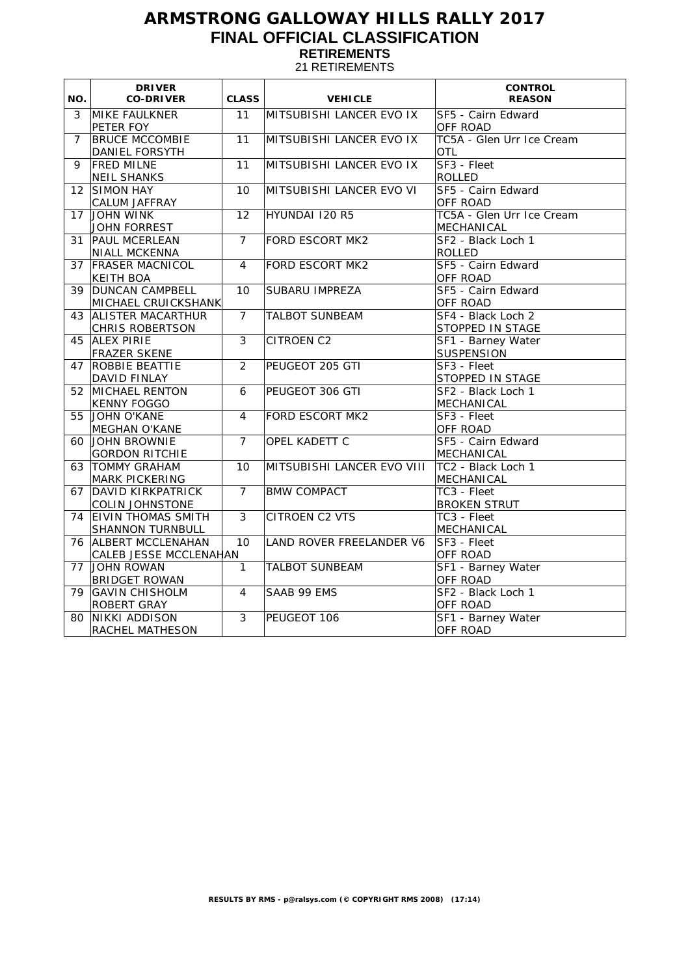# **ARMSTRONG GALLOWAY HILLS RALLY 2017 FINAL OFFICIAL CLASSIFICATION RETIREMENTS**

21 RETIREMENTS

| 3<br>MIKE FAULKNER<br>11<br>MITSUBISHI LANCER EVO IX<br>SF5 - Cairn Edward<br>PETER FOY<br><b>OFF ROAD</b><br>TC5A - Glen Urr Ice Cream<br><b>BRUCE MCCOMBIE</b><br>11<br>MITSUBISHI LANCER EVO IX<br>$\overline{7}$<br><b>DANIEL FORSYTH</b><br>OTL<br><b>FRED MILNE</b><br>SF3 - Fleet<br>9<br>11<br>MITSUBISHI LANCER EVO IX<br><b>NEIL SHANKS</b><br><b>ROLLED</b><br>MITSUBISHI LANCER EVO VI<br>SIMON HAY<br>10<br>SF5 - Cairn Edward<br>$12 \overline{ }$<br><b>CALUM JAFFRAY</b><br>OFF ROAD<br>JOHN WINK<br>12<br>HYUNDAI 120 R5<br>TC5A - Glen Urr Ice Cream<br>17<br><b>JOHN FORREST</b><br>MECHANICAL<br>$\overline{7}$<br>SF2 - Black Loch 1<br>31<br><b>PAUL MCERLEAN</b><br><b>FORD ESCORT MK2</b><br><b>NIALL MCKENNA</b><br>ROLLED<br><b>FRASER MACNICOL</b><br><b>FORD ESCORT MK2</b><br>SF5 - Cairn Edward<br>$\overline{4}$<br>37<br>OFF ROAD<br><b>KEITH BOA</b> | NO. | <b>DRIVER</b><br><b>CO-DRIVER</b> | <b>CLASS</b> | <b>VEHICLE</b> | <b>CONTROL</b><br><b>REASON</b> |
|---------------------------------------------------------------------------------------------------------------------------------------------------------------------------------------------------------------------------------------------------------------------------------------------------------------------------------------------------------------------------------------------------------------------------------------------------------------------------------------------------------------------------------------------------------------------------------------------------------------------------------------------------------------------------------------------------------------------------------------------------------------------------------------------------------------------------------------------------------------------------------------|-----|-----------------------------------|--------------|----------------|---------------------------------|
|                                                                                                                                                                                                                                                                                                                                                                                                                                                                                                                                                                                                                                                                                                                                                                                                                                                                                       |     |                                   |              |                |                                 |
|                                                                                                                                                                                                                                                                                                                                                                                                                                                                                                                                                                                                                                                                                                                                                                                                                                                                                       |     |                                   |              |                |                                 |
|                                                                                                                                                                                                                                                                                                                                                                                                                                                                                                                                                                                                                                                                                                                                                                                                                                                                                       |     |                                   |              |                |                                 |
|                                                                                                                                                                                                                                                                                                                                                                                                                                                                                                                                                                                                                                                                                                                                                                                                                                                                                       |     |                                   |              |                |                                 |
|                                                                                                                                                                                                                                                                                                                                                                                                                                                                                                                                                                                                                                                                                                                                                                                                                                                                                       |     |                                   |              |                |                                 |
|                                                                                                                                                                                                                                                                                                                                                                                                                                                                                                                                                                                                                                                                                                                                                                                                                                                                                       |     |                                   |              |                |                                 |
|                                                                                                                                                                                                                                                                                                                                                                                                                                                                                                                                                                                                                                                                                                                                                                                                                                                                                       |     |                                   |              |                |                                 |
|                                                                                                                                                                                                                                                                                                                                                                                                                                                                                                                                                                                                                                                                                                                                                                                                                                                                                       |     |                                   |              |                |                                 |
|                                                                                                                                                                                                                                                                                                                                                                                                                                                                                                                                                                                                                                                                                                                                                                                                                                                                                       |     |                                   |              |                |                                 |
|                                                                                                                                                                                                                                                                                                                                                                                                                                                                                                                                                                                                                                                                                                                                                                                                                                                                                       |     |                                   |              |                |                                 |
|                                                                                                                                                                                                                                                                                                                                                                                                                                                                                                                                                                                                                                                                                                                                                                                                                                                                                       |     |                                   |              |                |                                 |
|                                                                                                                                                                                                                                                                                                                                                                                                                                                                                                                                                                                                                                                                                                                                                                                                                                                                                       |     |                                   |              |                |                                 |
|                                                                                                                                                                                                                                                                                                                                                                                                                                                                                                                                                                                                                                                                                                                                                                                                                                                                                       |     |                                   |              |                |                                 |
|                                                                                                                                                                                                                                                                                                                                                                                                                                                                                                                                                                                                                                                                                                                                                                                                                                                                                       |     |                                   |              |                |                                 |
|                                                                                                                                                                                                                                                                                                                                                                                                                                                                                                                                                                                                                                                                                                                                                                                                                                                                                       | 39  | <b>DUNCAN CAMPBELL</b>            | 10           | SUBARU IMPREZA | SF5 - Cairn Edward              |
| MICHAEL CRUICKSHANK<br>OFF ROAD                                                                                                                                                                                                                                                                                                                                                                                                                                                                                                                                                                                                                                                                                                                                                                                                                                                       |     |                                   |              |                |                                 |
| $\overline{7}$<br>SF4 - Black Loch 2<br><b>ALISTER MACARTHUR</b><br><b>TALBOT SUNBEAM</b><br>43                                                                                                                                                                                                                                                                                                                                                                                                                                                                                                                                                                                                                                                                                                                                                                                       |     |                                   |              |                |                                 |
| CHRIS ROBERTSON<br>STOPPED IN STAGE                                                                                                                                                                                                                                                                                                                                                                                                                                                                                                                                                                                                                                                                                                                                                                                                                                                   |     |                                   |              |                |                                 |
| $\overline{3}$<br><b>ALEX PIRIE</b><br><b>CITROEN C2</b><br>45<br>SF1 - Barney Water                                                                                                                                                                                                                                                                                                                                                                                                                                                                                                                                                                                                                                                                                                                                                                                                  |     |                                   |              |                |                                 |
| <b>FRAZER SKENE</b><br><b>SUSPENSION</b>                                                                                                                                                                                                                                                                                                                                                                                                                                                                                                                                                                                                                                                                                                                                                                                                                                              |     |                                   |              |                |                                 |
| $\overline{2}$<br>ROBBIE BEATTIE<br>PEUGEOT 205 GTI<br>SF3 - Fleet<br>47                                                                                                                                                                                                                                                                                                                                                                                                                                                                                                                                                                                                                                                                                                                                                                                                              |     |                                   |              |                |                                 |
| <b>DAVID FINLAY</b><br>STOPPED IN STAGE                                                                                                                                                                                                                                                                                                                                                                                                                                                                                                                                                                                                                                                                                                                                                                                                                                               |     |                                   |              |                |                                 |
| 52 MICHAEL RENTON<br>6<br>PEUGEOT 306 GTI<br>SF2 - Black Loch 1                                                                                                                                                                                                                                                                                                                                                                                                                                                                                                                                                                                                                                                                                                                                                                                                                       |     |                                   |              |                |                                 |
| <b>KENNY FOGGO</b><br>MECHANICAL                                                                                                                                                                                                                                                                                                                                                                                                                                                                                                                                                                                                                                                                                                                                                                                                                                                      |     |                                   |              |                |                                 |
| JOHN O'KANE<br><b>FORD ESCORT MK2</b><br>SF3 - Fleet<br>55<br>4                                                                                                                                                                                                                                                                                                                                                                                                                                                                                                                                                                                                                                                                                                                                                                                                                       |     |                                   |              |                |                                 |
| OFF ROAD<br>MEGHAN O'KANE                                                                                                                                                                                                                                                                                                                                                                                                                                                                                                                                                                                                                                                                                                                                                                                                                                                             |     |                                   |              |                |                                 |
| JOHN BROWNIE<br>$\overline{7}$<br>OPEL KADETT C<br>SF5 - Cairn Edward<br>60                                                                                                                                                                                                                                                                                                                                                                                                                                                                                                                                                                                                                                                                                                                                                                                                           |     |                                   |              |                |                                 |
| <b>GORDON RITCHIE</b><br>MECHANICAL                                                                                                                                                                                                                                                                                                                                                                                                                                                                                                                                                                                                                                                                                                                                                                                                                                                   |     |                                   |              |                |                                 |
| <b>TOMMY GRAHAM</b><br>10<br>MITSUBISHI LANCER EVO VIII<br>TC2 - Black Loch 1<br>63                                                                                                                                                                                                                                                                                                                                                                                                                                                                                                                                                                                                                                                                                                                                                                                                   |     |                                   |              |                |                                 |
| <b>MARK PICKERING</b><br>MECHANICAL                                                                                                                                                                                                                                                                                                                                                                                                                                                                                                                                                                                                                                                                                                                                                                                                                                                   |     |                                   |              |                |                                 |
| $\overline{7}$<br>DAVID KIRKPATRICK<br><b>BMW COMPACT</b><br>TC3 - Fleet<br>67                                                                                                                                                                                                                                                                                                                                                                                                                                                                                                                                                                                                                                                                                                                                                                                                        |     |                                   |              |                |                                 |
| <b>COLIN JOHNSTONE</b><br><b>BROKEN STRUT</b>                                                                                                                                                                                                                                                                                                                                                                                                                                                                                                                                                                                                                                                                                                                                                                                                                                         |     |                                   |              |                |                                 |
| <b>EIVIN THOMAS SMITH</b><br>3<br><b>CITROEN C2 VTS</b><br>TC3 - Fleet<br>74                                                                                                                                                                                                                                                                                                                                                                                                                                                                                                                                                                                                                                                                                                                                                                                                          |     |                                   |              |                |                                 |
| <b>SHANNON TURNBULL</b><br>MECHANICAL                                                                                                                                                                                                                                                                                                                                                                                                                                                                                                                                                                                                                                                                                                                                                                                                                                                 |     |                                   |              |                |                                 |
| <b>ALBERT MCCLENAHAN</b><br>10<br>LAND ROVER FREELANDER V6<br>SF3 - Fleet<br>76                                                                                                                                                                                                                                                                                                                                                                                                                                                                                                                                                                                                                                                                                                                                                                                                       |     |                                   |              |                |                                 |
| CALEB JESSE MCCLENAHAN<br>OFF ROAD                                                                                                                                                                                                                                                                                                                                                                                                                                                                                                                                                                                                                                                                                                                                                                                                                                                    |     |                                   |              |                |                                 |
| $\mathbf{1}$<br><b>TALBOT SUNBEAM</b><br>SF1 - Barney Water<br>77<br>JOHN ROWAN                                                                                                                                                                                                                                                                                                                                                                                                                                                                                                                                                                                                                                                                                                                                                                                                       |     |                                   |              |                |                                 |
| <b>BRIDGET ROWAN</b><br>OFF ROAD                                                                                                                                                                                                                                                                                                                                                                                                                                                                                                                                                                                                                                                                                                                                                                                                                                                      |     |                                   |              |                |                                 |
| SF2 - Black Loch 1<br><b>GAVIN CHISHOLM</b><br>4<br>SAAB 99 EMS<br>79                                                                                                                                                                                                                                                                                                                                                                                                                                                                                                                                                                                                                                                                                                                                                                                                                 |     |                                   |              |                |                                 |
| <b>ROBERT GRAY</b><br>OFF ROAD                                                                                                                                                                                                                                                                                                                                                                                                                                                                                                                                                                                                                                                                                                                                                                                                                                                        |     |                                   |              |                |                                 |
| SF1 - Barney Water<br>NIKKI ADDISON<br>3<br>PEUGEOT 106<br>80<br>OFF ROAD<br>RACHEL MATHESON                                                                                                                                                                                                                                                                                                                                                                                                                                                                                                                                                                                                                                                                                                                                                                                          |     |                                   |              |                |                                 |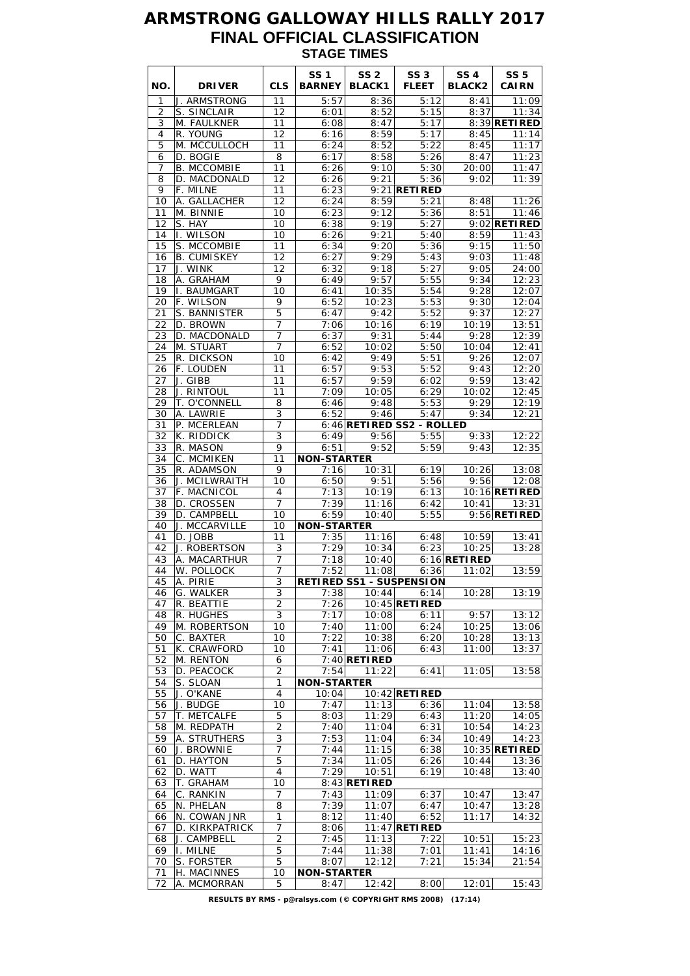## **ARMSTRONG GALLOWAY HILLS RALLY 2017 FINAL OFFICIAL CLASSIFICATION STAGE TIMES**

| NO.      | <b>DRIVER</b>                 | <b>CLS</b>          | <b>SS1</b><br><b>BARNEY</b> | SS <sub>2</sub><br><b>BLACK1</b> | SS <sub>3</sub><br><b>FLEET</b>   | <b>SS4</b><br><b>BLACK2</b> | <b>SS 5</b><br><b>CAIRN</b> |
|----------|-------------------------------|---------------------|-----------------------------|----------------------------------|-----------------------------------|-----------------------------|-----------------------------|
| 1        | J. ARMSTRONG                  | 11                  | 5:57                        | 8:36                             | 5:12                              | 8:41                        | 11:09                       |
| 2        | S. SINCLAIR                   | 12                  | 6:01                        | 8:52                             | 5:15                              | 8:37                        | 11:34                       |
| 3<br>4   | M. FAULKNER<br>R. YOUNG       | 11<br>12            | 6:08<br>6:16                | 8:47<br>8:59                     | 5:17<br>5:17                      | 8:45                        | 8:39 RETIRED<br>11:14       |
| 5        | M. MCCULLOCH                  | 11                  | 6:24                        | 8:52                             | 5:22                              | 8:45                        | 11:17                       |
| 6        | D. BOGIE                      | 8                   | 6:17                        | 8:58                             | 5:26                              | 8:47                        | 11:23                       |
| 7        | <b>B. MCCOMBIE</b>            | 11                  | 6:26                        | 9:10                             | 5:30                              | 20:00                       | 11:47                       |
| 8        | D. MACDONALD                  | 12                  | 6:26                        | 9:21                             | 5:36                              | 9:02                        | 11:39                       |
| 9        | F. MILNE                      | 11                  | 6:23                        |                                  | $9:21$ RETIRED                    |                             |                             |
| 10       | A. GALLACHER                  | 12                  | 6:24                        | 8:59                             | 5:21                              | 8:48                        | 11:26                       |
| 11       | M. BINNIE                     | 10                  | 6:23                        | 9:12                             | 5:36                              | 8:51                        | 11:46                       |
| 12<br>14 | S. HAY<br>I. WILSON           | 10<br>10            | 6:38<br>6:26                | 9:19<br>9:21                     | 5:27<br>5:40                      | 8:59                        | $9:02$ RETIRED<br>11:43     |
| 15       | S. MCCOMBIE                   | 11                  | 6:34                        | 9:20                             | 5:36                              | 9:15                        | 11:50                       |
| 16       | <b>B. CUMISKEY</b>            | 12                  | 6:27                        | 9:29                             | 5:43                              | 9:03                        | 11:48                       |
| 17       | J. WINK                       | 12                  | 6:32                        | 9:18                             | 5:27                              | 9:05                        | 24:00                       |
| 18       | A. GRAHAM                     | 9                   | 6:49                        | 9:57                             | 5:55                              | 9:34                        | 12:23                       |
| 19       | <b>I. BAUMGART</b>            | 10                  | 6:41                        | 10:35                            | 5:54                              | 9:28                        | 12:07                       |
| 20       | F. WILSON                     | 9                   | 6:52                        | 10:23                            | 5:53                              | 9:30                        | 12:04                       |
| 21       | S. BANNISTER                  | 5                   | 6:47                        | 9:42                             | 5:52                              | 9:37                        | 12:27                       |
| 22<br>23 | D. BROWN<br>D. MACDONALD      | 7<br>7              | 7:06<br>6:37                | 10:16<br>9:31                    | 6:19<br>5:44                      | 10:19<br>9:28               | 13:51<br>12:39              |
| 24       | M. STUART                     | $\overline{7}$      | 6:52                        | 10:02                            | 5:50                              | 10:04                       | 12:41                       |
| 25       | R. DICKSON                    | 10                  | 6:42                        | 9:49                             | 5:51                              | 9:26                        | 12:07                       |
| 26       | F. LOUDEN                     | 11                  | 6:57                        | 9:53                             | 5:52                              | 9:43                        | 12:20                       |
| 27       | J. GIBB                       | 11                  | 6:57                        | 9:59                             | 6:02                              | 9:59                        | 13:42                       |
| 28       | J. RINTOUL                    | 11                  | 7:09                        | 10:05                            | 6:29                              | 10:02                       | 12:45                       |
| 29       | T. O'CONNELL                  | 8                   | 6:46                        | 9:48                             | 5:53                              | 9:29                        | 12:19                       |
| 30       | A. LAWRIE                     | 3                   | 6:52                        | 9:46                             | 5:47                              | 9:34                        | 12:21                       |
| 31<br>32 | P. MCERLEAN<br>K. RIDDICK     | 7<br>$\overline{3}$ | 6:49                        | 9:56                             | 6:46 RETIRED SS2 - ROLLED<br>5:55 | 9:33                        | 12:22                       |
| 33       | R. MASON                      | 9                   | 6:51                        | 9:52                             | 5:59                              | 9:43                        | 12:35                       |
| 34       | C. MCMIKEN                    | 11                  | <b>NON-STARTER</b>          |                                  |                                   |                             |                             |
| 35       | R. ADAMSON                    | 9                   | 7:16                        | 10:31                            | 6:19                              | 10:26                       | 13:08                       |
| 36       | J. MCILWRAITH                 | 10                  | 6:50                        | 9:51                             | 5:56                              | 9:56                        | 12:08                       |
| 37       | F. MACNICOL                   | 4                   | 7:13                        | 10:19                            | 6:13                              |                             | 10:16 RETIRED               |
| 38       | D. CROSSEN                    | 7                   | 7:39                        | 11:16                            | 6:42                              | 10:41                       | 13:31                       |
| 39       | D. CAMPBELL                   | 10                  | 6:59                        | 10:40                            | 5:55                              |                             | $9:56$ RETIRED              |
| 40       | J. MCCARVILLE<br>D. JOBB      | 10                  | <b>NON-STARTER</b><br>7:35  | 11:16                            |                                   | 10:59                       |                             |
| 41<br>42 | J. ROBERTSON                  | 11<br>3             | 7:29                        | 10:34                            | 6:48<br>6:23                      | 10:25                       | 13:41<br>13:28              |
| 43       | A. MACARTHUR                  | 7                   | 7:18                        | 10:40                            |                                   | $6:16$ <b>RETIRED</b>       |                             |
| 44       | W. POLLOCK                    | 7                   | 7:52                        | 11:08                            | 6:36                              | 11:02                       | 13:59                       |
| 45       | A. PIRIE                      | $\overline{3}$      |                             |                                  | <b>RETIRED SS1 - SUSPENSION</b>   |                             |                             |
| 46       | G. WALKER                     | 3                   | 7:38                        | 10:44                            | 6:14                              | 10:28                       | 13:19                       |
| 47       | R. BEATTIE                    | $\overline{2}$      | 7:26                        |                                  | $10:45$ <b>RETIRED</b>            |                             |                             |
| 48       | R. HUGHES                     | 3                   | 7:17                        | 10:08                            | 6:11                              | 9:57                        | 13:12                       |
| 49<br>50 | M. ROBERTSON<br>C. BAXTER     | 10<br>10            | 7:40<br>7:22                | 11:00<br>10:38                   | 6:24<br>6:20                      | 10:25<br>10:28              | 13:06<br>13:13              |
| 51       | K. CRAWFORD                   | 10                  | 7:41                        | 11:06                            | 6:43                              | 11:00                       | 13:37                       |
| 52       | M. RENTON                     | 6                   |                             | $7:40$ RETIRED                   |                                   |                             |                             |
| 53       | D. PEACOCK                    | $\overline{2}$      | 7:54                        | 11:22                            | 6:41                              | 11:05                       | 13:58                       |
| 54       | S. SLOAN                      | 1                   | <b>NON-STARTER</b>          |                                  |                                   |                             |                             |
| 55       | J. O'KANE                     | 4                   | 10:04                       |                                  | $10:42$ <b>RETIRED</b>            |                             |                             |
| 56       | J. BUDGE                      | 10                  | 7:47                        | 11:13                            | 6:36                              | 11:04                       | 13:58                       |
| 57       | T. METCALFE                   | 5                   | 8:03                        | 11:29                            | 6:43                              | 11:20                       | 14:05                       |
| 58<br>59 | M. REDPATH<br>A. STRUTHERS    | $\overline{c}$<br>3 | 7:40<br>7:53                | 11:04<br>11:04                   | 6:31<br>6:34                      | 10:54<br>10:49              | 14:23<br>14:23              |
| 60       | J. BROWNIE                    | $\overline{7}$      | 7:44                        | 11:15                            | 6:38                              |                             | 10:35 <b>RETIRED</b>        |
| 61       | D. HAYTON                     | $\overline{5}$      | 7:34                        | 11:05                            | 6:26                              | 10:44                       | 13:36                       |
| 62       | D. WATT                       | 4                   | 7:29                        | 10:51                            | 6:19                              | 10:48                       | 13:40                       |
| 63       | T. GRAHAM                     | 10                  |                             | $8:43$ RETIRED                   |                                   |                             |                             |
| 64       | C. RANKIN                     | 7                   | 7:43                        | 11:09                            | 6:37                              | 10:47                       | 13:47                       |
| 65       | N. PHELAN                     | 8                   | 7:39                        | 11:07                            | 6:47                              | 10:47                       | 13:28                       |
| 66       | N. COWAN JNR                  | 1                   | 8:12                        | 11:40                            | 6:52                              | 11:17                       | 14:32                       |
| 67<br>68 | D. KIRKPATRICK<br>J. CAMPBELL | 7<br>$\overline{c}$ | 8:06<br>7:45                | 11:13                            | $11:47$ RETIRED<br>7:22           | 10:51                       | 15:23                       |
| 69       | I. MILNE                      | 5                   | 7:44                        | 11:38                            | 7:01                              | 11:41                       | 14:16                       |
| 70       | S. FORSTER                    | 5                   | 8:07                        | 12:12                            | 7:21                              | 15:34                       | 21:54                       |
| 71       | H. MACINNES                   | 10                  | <b>NON-STARTER</b>          |                                  |                                   |                             |                             |
| 72       | A. MCMORRAN                   | 5                   | 8:47                        | 12:42                            | 8:00                              | 12:01                       | 15:43                       |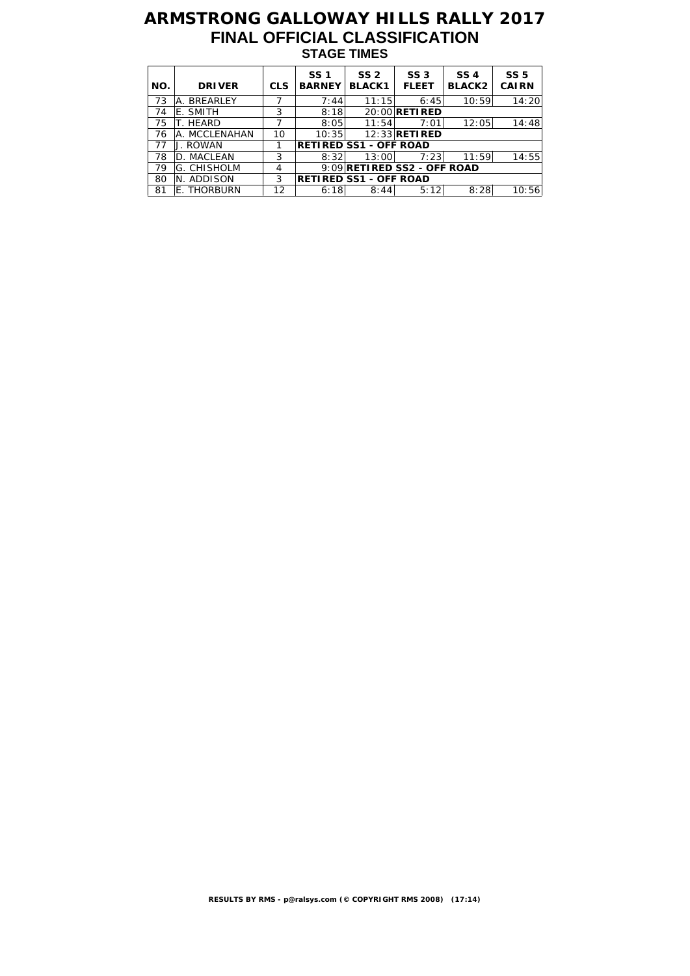## **ARMSTRONG GALLOWAY HILLS RALLY 2017 FINAL OFFICIAL CLASSIFICATION STAGE TIMES**

| NO. | <b>DRIVER</b> | <b>CLS</b> | SS <sub>1</sub><br><b>BARNEY</b> | SS <sub>2</sub><br><b>BLACK1</b> | SS <sub>3</sub><br><b>FLEET</b> | SS <sub>4</sub><br><b>BLACK2</b> | SS <sub>5</sub><br><b>CAIRN</b> |
|-----|---------------|------------|----------------------------------|----------------------------------|---------------------------------|----------------------------------|---------------------------------|
| 73  | A. BREARLEY   |            | 7:44                             | 11:15                            | 6:45                            | 10:59                            | 14:20                           |
| 74  | E. SMITH      | 3          | 8:18                             |                                  | 20:00 <b>RETI RED</b>           |                                  |                                 |
| 75  | T. HEARD      |            | 8:05                             | 11:54                            | 7:01                            | 12:05                            | 14:48                           |
| 76  | A. MCCLENAHAN | 10         | 10:35                            |                                  | 12:33 RETIRED                   |                                  |                                 |
| 77  | J. ROWAN      |            |                                  | <b>RETIRED SS1 - OFF ROAD</b>    |                                 |                                  |                                 |
| 78  | D. MACLEAN    | 3          | 8:32                             | 13:00                            | 7:23                            | 11:59                            | 14:55                           |
| 79  | IG. CHISHOLM  | 4          |                                  |                                  | 9:09 RETIRED SS2 - OFF ROAD     |                                  |                                 |
| 80  | N. ADDISON    | 3          |                                  | <b>RETIRED SS1 - OFF ROAD</b>    |                                 |                                  |                                 |
| 81  | E. THORBURN   | 12         | 6:18                             | 8:44                             | 5:12                            | 8:28                             | 10:56                           |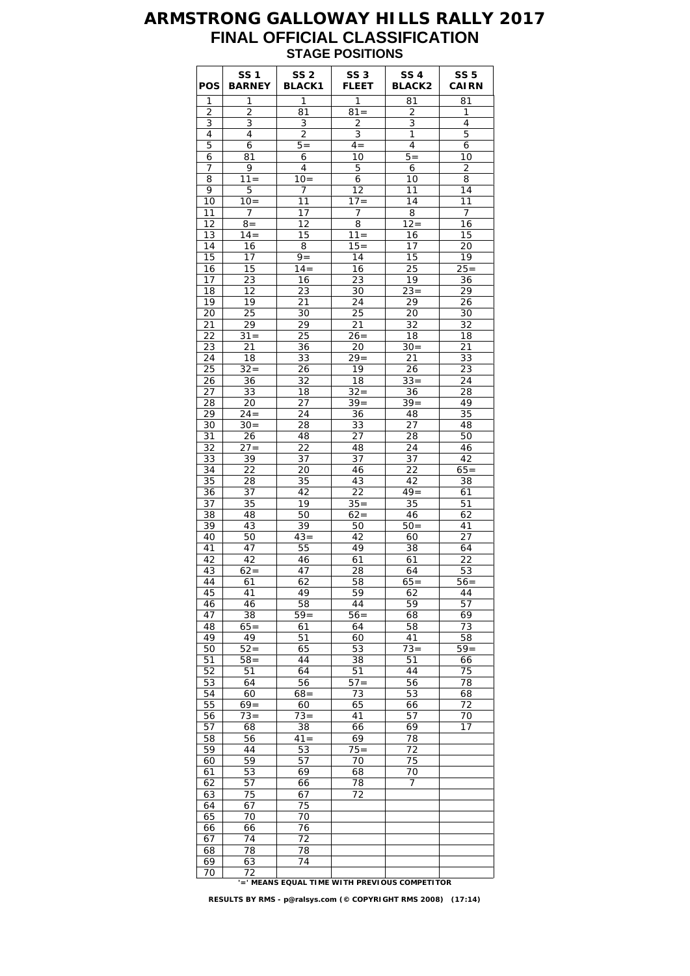#### **ARMSTRONG GALLOWAY HILLS RALLY 2017 FINAL OFFICIAL CLASSIFICATION STAGE POSITIONS**

| <b>POS</b> | SS 1<br><b>BARNEY</b> | SS <sub>2</sub><br><b>BLACK1</b>             | SS <sub>3</sub><br><b>FLEET</b> | <b>SS 4</b><br><b>BLACK2</b> | <b>SS 5</b><br><b>CAIRN</b> |
|------------|-----------------------|----------------------------------------------|---------------------------------|------------------------------|-----------------------------|
| 1          | 1                     | 1                                            | 1                               | 81                           | 81                          |
| 2          | 2                     | 81<br>3                                      | $81 =$<br>$\overline{2}$        | 2<br>3                       | 1<br>4                      |
| 3<br>4     | 3<br>4                | $\overline{2}$                               | 3                               | 1                            | 5                           |
| 5          | 6                     | $5=$                                         | $4 =$                           | 4                            | 6                           |
| 6          | 81                    | 6                                            | 10                              | $5 =$                        | 10                          |
| 7          | 9                     | 4                                            | 5                               | 6                            | $\overline{2}$              |
| 8          | $11 =$                | $10=$                                        | 6                               | 10                           | 8                           |
| 9<br>10    | 5<br>$10=$            | 7<br>11                                      | 12<br>$17 =$                    | 11<br>14                     | 14<br>11                    |
| 11         | $\overline{7}$        | 17                                           | 7                               | 8                            | 7                           |
| 12         | $8 =$                 | 12                                           | 8                               | $12 =$                       | 16                          |
| 13         | $14 =$                | 15                                           | $11 =$                          | 16                           | 15                          |
| 14         | 16                    | 8                                            | $15 =$                          | 17                           | 20                          |
| 15         | 17                    | $9 =$                                        | 14                              | 15                           | 19                          |
| 16         | 15                    | $14 =$                                       | 16                              | 25                           | $25 =$                      |
| 17<br>18   | 23<br>12              | 16<br>23                                     | 23<br>30                        | 19<br>$23 =$                 | 36<br>29                    |
| 19         | 19                    | 21                                           | 24                              | 29                           | 26                          |
| 20         | 25                    | 30                                           | 25                              | 20                           | 30                          |
| 21         | 29                    | 29                                           | 21                              | 32                           | 32                          |
| 22         | $31 =$                | 25                                           | $26=$                           | 18                           | 18                          |
| 23         | 21                    | 36                                           | 20                              | $30=$                        | 21                          |
| 24         | 18                    | 33                                           | $29 =$                          | 21                           | 33                          |
| 25<br>26   | $32 =$<br>36          | 26<br>32                                     | 19<br>18                        | 26<br>$33 =$                 | 23<br>24                    |
| 27         | 33                    | 18                                           | $32 =$                          | 36                           | 28                          |
| 28         | 20                    | 27                                           | $39 =$                          | $39 =$                       | 49                          |
| 29         | $24 =$                | 24                                           | 36                              | 48                           | 35                          |
| 30         | $30=$                 | 28                                           | 33                              | 27                           | 48                          |
| 31         | 26                    | 48                                           | 27                              | 28                           | 50                          |
| 32<br>33   | $27 =$                | 22                                           | 48<br>37                        | 24<br>37                     | 46                          |
| 34         | 39<br>22              | 37<br>20                                     | 46                              | 22                           | 42<br>$65 =$                |
| 35         | 28                    | 35                                           | 43                              | 42                           | 38                          |
| 36         | 37                    | 42                                           | 22                              | $49=$                        | 61                          |
| 37         | 35                    | 19                                           | $35 =$                          | 35                           | 51                          |
| 38         | 48                    | 50                                           | $62 =$                          | 46                           | 62                          |
| 39         | 43                    | 39                                           | 50                              | $50=$                        | 41                          |
| 40<br>41   | 50<br>47              | $43 =$<br>55                                 | 42<br>49                        | 60<br>38                     | 27<br>64                    |
| 42         | 42                    | 46                                           | 61                              | 61                           | 22                          |
| 43         | $62=$                 | 47                                           | 28                              | 64                           | 53                          |
| 44         | 61                    | 62                                           | 58                              | $65=$                        | $56=$                       |
| 45         | 41                    | 49                                           | 59                              | 62                           | 44                          |
| 46         | 46                    | 58                                           | 44                              | 59                           | 57                          |
| 47         | 38<br>$65=$           | $59=$                                        | $56 =$                          | 68                           | 69                          |
| 48<br>49   | 49                    | 61<br>51                                     | 64<br>60                        | 58<br>41                     | 73<br>58                    |
| 50         | $52 =$                | 65                                           | 53                              | $73 =$                       | $59=$                       |
| 51         | $58 =$                | 44                                           | 38                              | 51                           | 66                          |
| 52         | 51                    | 64                                           | 51                              | 44                           | 75                          |
| 53         | 64                    | 56                                           | $57 =$                          | 56                           | 78                          |
| 54         | 60                    | $68 =$                                       | 73                              | 53                           | 68                          |
| 55<br>56   | $69=$<br>$73=$        | 60<br>$\overline{73}$ =                      | 65<br>41                        | 66<br>57                     | 72<br>70                    |
| 57         | 68                    | 38                                           | 66                              | 69                           | 17                          |
| 58         | 56                    | $41 =$                                       | 69                              | 78                           |                             |
| 59         | 44                    | 53                                           | $75 =$                          | 72                           |                             |
| 60         | 59                    | 57                                           | 70                              | 75                           |                             |
| 61         | 53                    | 69                                           | 68                              | 70                           |                             |
| 62<br>63   | 57                    | 66<br>67                                     | 78                              | $\overline{7}$               |                             |
| 64         | 75<br>67              | 75                                           | 72                              |                              |                             |
| 65         | 70                    | 70                                           |                                 |                              |                             |
| 66         | 66                    | 76                                           |                                 |                              |                             |
| 67         | 74                    | 72                                           |                                 |                              |                             |
| 68         | 78                    | 78                                           |                                 |                              |                             |
| 69         | 63                    | 74                                           |                                 |                              |                             |
| 70         | 72                    | -' MEANS EQUAL TIME WITH PREVIOUS COMPETITOR |                                 |                              |                             |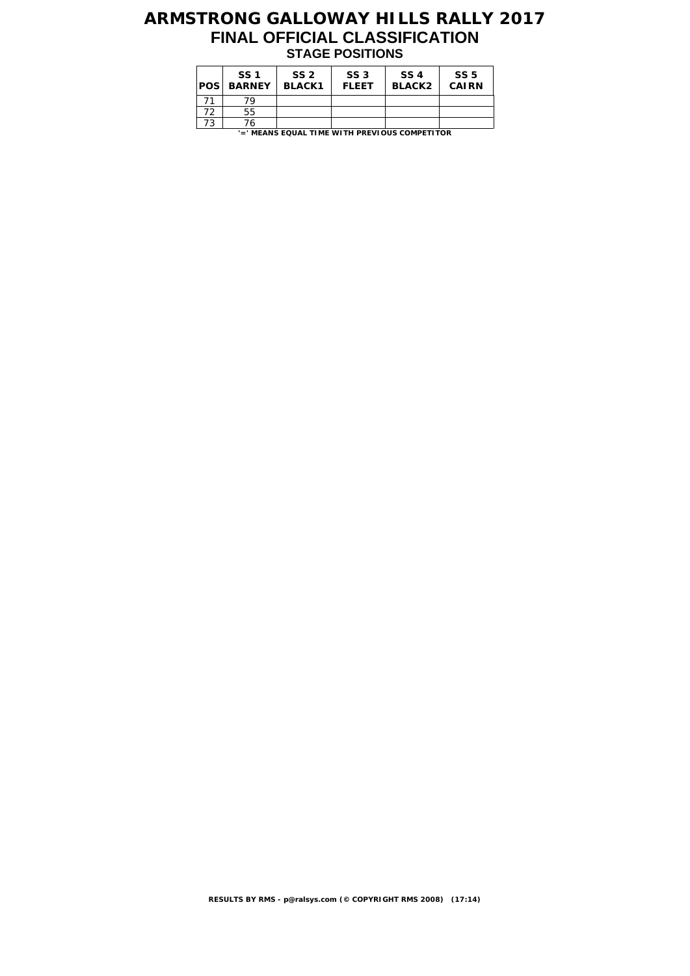## **ARMSTRONG GALLOWAY HILLS RALLY 2017 FINAL OFFICIAL CLASSIFICATION STAGE POSITIONS**

| POS | SS <sub>1</sub><br><b>BARNEY</b> | SS <sub>2</sub><br><b>BLACK1</b> | SS <sub>3</sub><br><b>FLEET</b> | SS 4<br><b>BLACK2</b>                         | SS <sub>5</sub><br><b>CAIRN</b> |
|-----|----------------------------------|----------------------------------|---------------------------------|-----------------------------------------------|---------------------------------|
|     | 79                               |                                  |                                 |                                               |                                 |
| 72  | 55                               |                                  |                                 |                                               |                                 |
| 73  | 76                               |                                  |                                 |                                               |                                 |
|     |                                  |                                  |                                 | '=' MEANS EQUAL TIME WITH PREVIOUS COMPETITOR |                                 |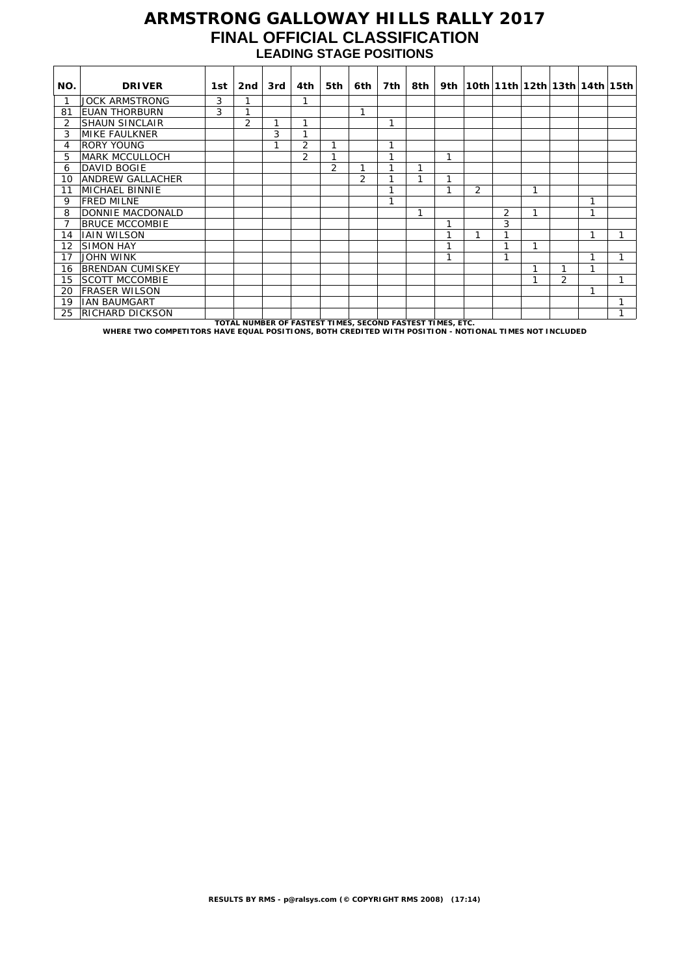#### **ARMSTRONG GALLOWAY HILLS RALLY 2017 FINAL OFFICIAL CLASSIFICATION LEADING STAGE POSITIONS**

| NO. | <b>DRIVER</b>                                                                                         | 1st. | 2nd                                                       | 3rd | 4th            | 5th | 6th | 7th | 8th |   |                |                |   |   |   | 9th   10th   11th   12th   13th   14th   15th |
|-----|-------------------------------------------------------------------------------------------------------|------|-----------------------------------------------------------|-----|----------------|-----|-----|-----|-----|---|----------------|----------------|---|---|---|-----------------------------------------------|
|     | <b>JOCK ARMSTRONG</b>                                                                                 | 3    |                                                           |     | 1              |     |     |     |     |   |                |                |   |   |   |                                               |
| 81  | EUAN THORBURN                                                                                         | 3    | h                                                         |     |                |     | 1   |     |     |   |                |                |   |   |   |                                               |
| 2   | <b>SHAUN SINCLAIR</b>                                                                                 |      | $\overline{2}$                                            | 1   | 1              |     |     | 1   |     |   |                |                |   |   |   |                                               |
| 3   | <b>MIKE FAULKNER</b>                                                                                  |      |                                                           | 3   | h              |     |     |     |     |   |                |                |   |   |   |                                               |
| 4   | <b>RORY YOUNG</b>                                                                                     |      |                                                           | 1   | $\overline{2}$ |     |     | 1   |     |   |                |                |   |   |   |                                               |
| 5   | <b>MARK MCCULLOCH</b>                                                                                 |      |                                                           |     | 2              |     |     | 1   |     | 1 |                |                |   |   |   |                                               |
| 6   | <b>DAVID BOGIE</b>                                                                                    |      |                                                           |     |                | 2   | 1   | 1   |     |   |                |                |   |   |   |                                               |
| 10  | <b>ANDREW GALLACHER</b>                                                                               |      |                                                           |     |                |     | 2   |     |     | ⅎ |                |                |   |   |   |                                               |
| 11  | <b>MICHAEL BINNIE</b>                                                                                 |      |                                                           |     |                |     |     | h   |     | ⅎ | $\overline{2}$ |                | 1 |   |   |                                               |
| 9   | <b>FRED MILNE</b>                                                                                     |      |                                                           |     |                |     |     | 1   |     |   |                |                |   |   | 1 |                                               |
| 8   | DONNIE MACDONALD                                                                                      |      |                                                           |     |                |     |     |     | 1   |   |                | $\overline{2}$ | 1 |   | 1 |                                               |
|     | <b>BRUCE MCCOMBIE</b>                                                                                 |      |                                                           |     |                |     |     |     |     | 1 |                | 3              |   |   |   |                                               |
| 14  | <b>IAIN WILSON</b>                                                                                    |      |                                                           |     |                |     |     |     |     | 1 | 1              | 1              |   |   | 1 |                                               |
| 12  | <b>SIMON HAY</b>                                                                                      |      |                                                           |     |                |     |     |     |     | 1 |                |                | 1 |   |   |                                               |
| 17  | JOHN WINK                                                                                             |      |                                                           |     |                |     |     |     |     | 1 |                | ⊿              |   |   | 1 |                                               |
| 16  | <b>BRENDAN CUMISKEY</b>                                                                               |      |                                                           |     |                |     |     |     |     |   |                |                | 1 |   | 1 |                                               |
| 15  | <b>SCOTT MCCOMBIE</b>                                                                                 |      |                                                           |     |                |     |     |     |     |   |                |                |   | 2 |   |                                               |
| 20  | <b>FRASER WILSON</b>                                                                                  |      |                                                           |     |                |     |     |     |     |   |                |                |   |   | 1 |                                               |
| 19  | <b>IAN BAUMGART</b>                                                                                   |      |                                                           |     |                |     |     |     |     |   |                |                |   |   |   |                                               |
| 25  | <b>RICHARD DICKSON</b>                                                                                |      |                                                           |     |                |     |     |     |     |   |                |                |   |   |   | h                                             |
|     | WHERE TWO COMPETITORS HAVE EQUAL POSITIONS, BOTH CREDITED WITH POSITION - NOTIONAL TIMES NOT INCLUDED |      | TOTAL NUMBER OF FASTEST TIMES, SECOND FASTEST TIMES, ETC. |     |                |     |     |     |     |   |                |                |   |   |   |                                               |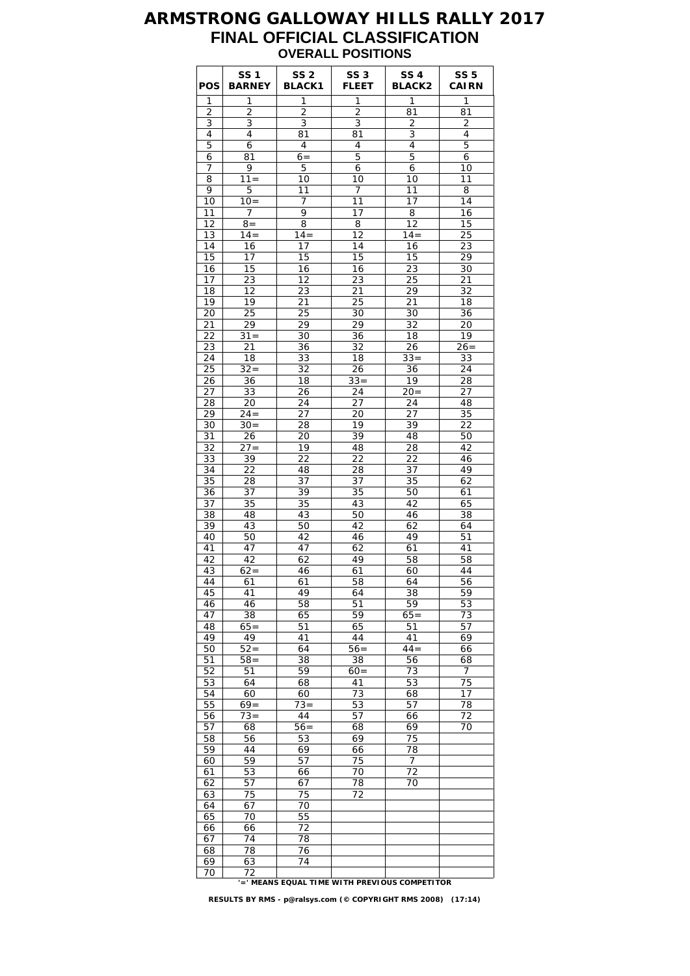#### **ARMSTRONG GALLOWAY HILLS RALLY 2017 FINAL OFFICIAL CLASSIFICATION OVERALL POSITIONS**

| POS      | <b>SS1</b><br><b>BARNEY</b> | SS <sub>2</sub><br><b>BLACK1</b> | SS <sub>3</sub><br><b>FLEET</b> | SS <sub>4</sub><br><b>BLACK2</b> | <b>SS 5</b><br><b>CAIRN</b> |
|----------|-----------------------------|----------------------------------|---------------------------------|----------------------------------|-----------------------------|
| 1        | 1                           | 1                                | 1                               | 1                                | 1                           |
| 2        | 2                           | 2                                | $\overline{c}$                  | 81                               | 81                          |
| 3        | 3                           | 3                                | 3                               | 2                                | $\overline{2}$              |
| 4<br>5   | 4<br>6                      | 81<br>$\overline{4}$             | 81<br>4                         | 3<br>4                           | 4<br>5                      |
| 6        | 81                          | $6=$                             | 5                               | 5                                | 6                           |
| 7        | 9                           | 5                                | 6                               | 6                                | 10                          |
| 8        | $11 =$                      | 10                               | 10                              | 10                               | 11                          |
| 9        | 5                           | 11                               | 7                               | 11                               | 8                           |
| 10       | $10=$                       | 7                                | 11                              | 17                               | 14                          |
| 11       | 7                           | 9                                | 17                              | 8                                | 16                          |
| 12       | $8 =$                       | 8                                | 8                               | 12                               | 15                          |
| 13       | $14 =$                      | $14 =$                           | 12                              | $14 =$                           | 25                          |
| 14<br>15 | 16<br>17                    | 17<br>15                         | 14<br>15                        | 16<br>15                         | 23<br>29                    |
| 16       | 15                          | 16                               | 16                              | 23                               | 30                          |
| 17       | 23                          | 12                               | 23                              | 25                               | 21                          |
| 18       | 12                          | 23                               | 21                              | 29                               | $3\overline{2}$             |
| 19       | 19                          | 21                               | 25                              | 21                               | 18                          |
| 20       | 25                          | 25                               | 30                              | 30                               | 36                          |
| 21       | 29                          | 29                               | 29                              | 32                               | 20                          |
| 22       | $31 =$                      | 30                               | 36                              | 18                               | 19                          |
| 23       | 21                          | 36                               | 32                              | 26                               | $26 =$                      |
| 24<br>25 | 18<br>$32 =$                | 33<br>32                         | 18<br>26                        | $33 =$<br>36                     | 33<br>24                    |
| 26       | 36                          | 18                               | $33 =$                          | 19                               | 28                          |
| 27       | 33                          | 26                               | 24                              | $20=$                            | 27                          |
| 28       | 20                          | 24                               | 27                              | 24                               | 48                          |
| 29       | $24 =$                      | 27                               | 20                              | 27                               | 35                          |
| 30       | $30=$                       | 28                               | 19                              | 39                               | 22                          |
| 31       | 26                          | 20                               | 39                              | 48                               | 50                          |
| 32       | $27 =$                      | 19                               | 48                              | 28                               | 42                          |
| 33       | 39                          | 22                               | 22                              | 22                               | 46                          |
| 34<br>35 | 22<br>28                    | 48<br>37                         | 28<br>37                        | 37<br>35                         | 49<br>62                    |
| 36       | 37                          | 39                               | 35                              | 50                               | 61                          |
| 37       | 35                          | 35                               | 43                              | 42                               | 65                          |
| 38       | 48                          | 43                               | 50                              | 46                               | 38                          |
| 39       | 43                          | 50                               | 42                              | 62                               | 64                          |
| 40       | 50                          | 42                               | 46                              | 49                               | 51                          |
| 41       | 47                          | 47                               | 62                              | 61                               | 41                          |
| 42       | 42                          | 62                               | 49                              | 58                               | 58                          |
| 43       | $62=$                       | 46                               | 61                              | 60                               | 44                          |
| 44       | 61                          | 61                               | 58                              | 64                               | 56<br>59                    |
| 45<br>46 | 41<br>46                    | 49<br>58                         | 64<br>51                        | 38<br>59                         | 53                          |
| 47       | 38                          | 65                               | 59                              | $65=$                            | 73                          |
| 48       | $65=$                       | 51                               | 65                              | 51                               | 57                          |
| 49       | 49                          | 41                               | 44                              | 41                               | 69                          |
| 50       | $52 =$                      | 64                               | $56 =$                          | $44 =$                           | 66                          |
| 51       | $58 =$                      | 38                               | 38                              | 56                               | 68                          |
| 52       | 51                          | 59                               | $60 =$                          | 73                               | 7                           |
| 53<br>54 | 64<br>60                    | 68<br>60                         | 41<br>73                        | 53<br>68                         | 75<br>17                    |
| 55       | $69 =$                      | $73 =$                           | 53                              | 57                               | 78                          |
| 56       | $73=$                       | 44                               | 57                              | 66                               | 72                          |
| 57       | 68                          | $56=$                            | 68                              | 69                               | 70                          |
| 58       | 56                          | 53                               | 69                              | 75                               |                             |
| 59       | 44                          | 69                               | 66                              | 78                               |                             |
| 60       | 59                          | 57                               | 75                              | 7                                |                             |
| 61       | 53                          | 66                               | 70                              | 72                               |                             |
| 62       | 57                          | 67                               | 78                              | 70                               |                             |
| 63       | 75                          | 75                               | 72                              |                                  |                             |
| 64<br>65 | 67<br>70                    | 70<br>55                         |                                 |                                  |                             |
| 66       | 66                          | 72                               |                                 |                                  |                             |
| 67       | 74                          | 78                               |                                 |                                  |                             |
| 68       | 78                          | 76                               |                                 |                                  |                             |
|          |                             |                                  |                                 |                                  |                             |
| 69<br>70 | 63<br>72                    | 74                               |                                 |                                  |                             |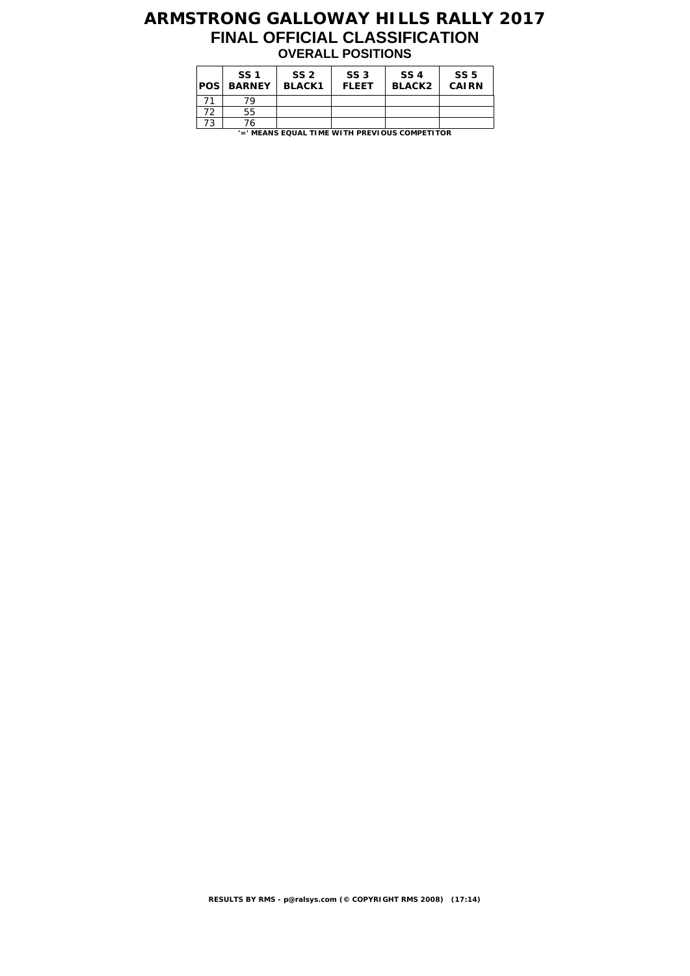## **ARMSTRONG GALLOWAY HILLS RALLY 2017 FINAL OFFICIAL CLASSIFICATION OVERALL POSITIONS**

| POS                                           | SS <sub>1</sub><br><b>BARNEY</b> | SS <sub>2</sub><br><b>BLACK1</b> | SS <sub>3</sub><br><b>FLEET</b> | SS 4<br><b>BLACK2</b> | SS <sub>5</sub><br><b>CAIRN</b> |  |  |  |  |
|-----------------------------------------------|----------------------------------|----------------------------------|---------------------------------|-----------------------|---------------------------------|--|--|--|--|
| 71                                            | 79                               |                                  |                                 |                       |                                 |  |  |  |  |
| 72                                            | 55                               |                                  |                                 |                       |                                 |  |  |  |  |
| 73                                            | 76                               |                                  |                                 |                       |                                 |  |  |  |  |
| '=' MEANS EQUAL TIME WITH PREVIOUS COMPETITOR |                                  |                                  |                                 |                       |                                 |  |  |  |  |